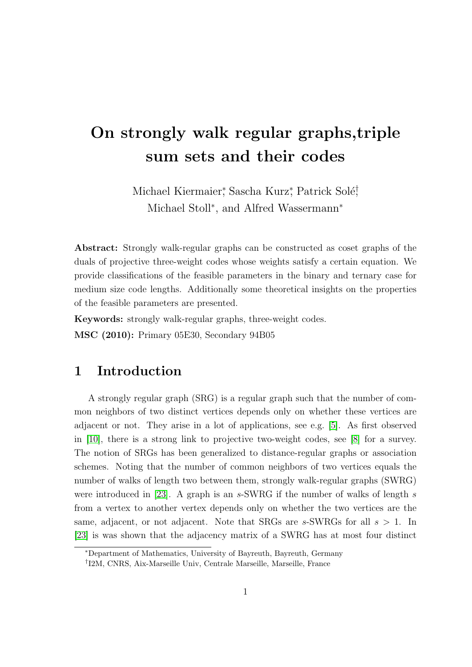# On strongly walk regular graphs,triple sum sets and their codes

Michael Kiermaier, Sascha Kurz, Patrick Solé, Michael Stoll<sup>\*</sup>, and Alfred Wassermann<sup>\*</sup>

Abstract: Strongly walk-regular graphs can be constructed as coset graphs of the duals of projective three-weight codes whose weights satisfy a certain equation. We provide classifications of the feasible parameters in the binary and ternary case for medium size code lengths. Additionally some theoretical insights on the properties of the feasible parameters are presented.

Keywords: strongly walk-regular graphs, three-weight codes. MSC (2010): Primary 05E30, Secondary 94B05

## 1 Introduction

A strongly regular graph (SRG) is a regular graph such that the number of common neighbors of two distinct vertices depends only on whether these vertices are adjacent or not. They arise in a lot of applications, see e.g. [\[5\]](#page-22-0). As first observed in [\[10\]](#page-22-1), there is a strong link to projective two-weight codes, see [\[8\]](#page-22-2) for a survey. The notion of SRGs has been generalized to distance-regular graphs or association schemes. Noting that the number of common neighbors of two vertices equals the number of walks of length two between them, strongly walk-regular graphs (SWRG) were introduced in [\[23\]](#page-23-0). A graph is an  $s$ -SWRG if the number of walks of length  $s$ from a vertex to another vertex depends only on whether the two vertices are the same, adjacent, or not adjacent. Note that SRGs are s-SWRGs for all  $s > 1$ . In [\[23\]](#page-23-0) is was shown that the adjacency matrix of a SWRG has at most four distinct

<sup>∗</sup>Department of Mathematics, University of Bayreuth, Bayreuth, Germany

<sup>†</sup> I2M, CNRS, Aix-Marseille Univ, Centrale Marseille, Marseille, France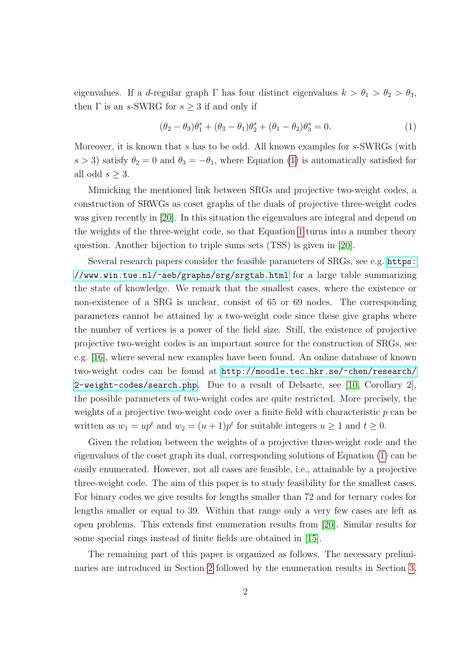eigenvalues. If a d-regular graph  $\Gamma$  has four distinct eigenvalues  $k > \theta_1 > \theta_2 > \theta_3$ , then  $\Gamma$  is an s-SWRG for  $s \geq 3$  if and only if

<span id="page-1-0"></span>
$$
(\theta_2 - \theta_3)\theta_1^s + (\theta_3 - \theta_1)\theta_2^s + (\theta_1 - \theta_2)\theta_3^s = 0.
$$
 (1)

Moreover, it is known that s has to be odd. All known examples for s-SWRGs (with s > 3) satisfy  $\theta_2 = 0$  and  $\theta_3 = -\theta_1$ , where Equation [\(1\)](#page-1-0) is automatically satisfied for all odd  $s \geq 3$ .

Mimicking the mentioned link between SRGs and projective two-weight codes, a construction of SRWGs as coset graphs of the duals of projective three-weight codes was given recently in [\[20\]](#page-23-1). In this situation the eigenvalues are integral and depend on the weights of the three-weight code, so that Equation [1](#page-1-0) turns into a number theory question. Another bijection to triple sums sets (TSS) is given in [\[20\]](#page-23-1).

Several research papers consider the feasible parameters of SRGs, see e.g. [https:](https://www.win.tue.nl/~aeb/graphs/srg/srgtab.html) [//www.win.tue.nl/~aeb/graphs/srg/srgtab.html](https://www.win.tue.nl/~aeb/graphs/srg/srgtab.html) for a large table summarizing the state of knowledge. We remark that the smallest cases, where the existence or non-existence of a SRG is unclear, consist of 65 or 69 nodes. The corresponding parameters cannot be attained by a two-weight code since these give graphs where the number of vertices is a power of the field size. Still, the existence of projective projective two-weight codes is an important source for the construction of SRGs, see e.g. [\[16\]](#page-23-2), where several new examples have been found. An online database of known two-weight codes can be found at [http://moodle.tec.hkr.se/~chen/research/](http://moodle.tec.hkr.se/~chen/research/2-weight-codes/search.php) [2-weight-codes/search.php](http://moodle.tec.hkr.se/~chen/research/2-weight-codes/search.php). Due to a result of Delsarte, see [\[10,](#page-22-1) Corollary 2], the possible parameters of two-weight codes are quite restricted. More precisely, the weights of a projective two-weight code over a finite field with characteristic p can be written as  $w_1 = up^t$  and  $w_2 = (u+1)p^t$  for suitable integers  $u \ge 1$  and  $t \ge 0$ .

Given the relation between the weights of a projective three-weight code and the eigenvalues of the coset graph its dual, corresponding solutions of Equation [\(1\)](#page-1-0) can be easily enumerated. However, not all cases are feasible, i.e., attainable by a projective three-weight code. The aim of this paper is to study feasibility for the smallest cases. For binary codes we give results for lengths smaller than 72 and for ternary codes for lengths smaller or equal to 39. Within that range only a very few cases are left as open problems. This extends first enumeration results from [\[20\]](#page-23-1). Similar results for some special rings instead of finite fields are obtained in [\[15\]](#page-23-3).

The remaining part of this paper is organized as follows. The necessary preliminaries are introduced in Section [2](#page-2-0) followed by the enumeration results in Section [3.](#page-4-0)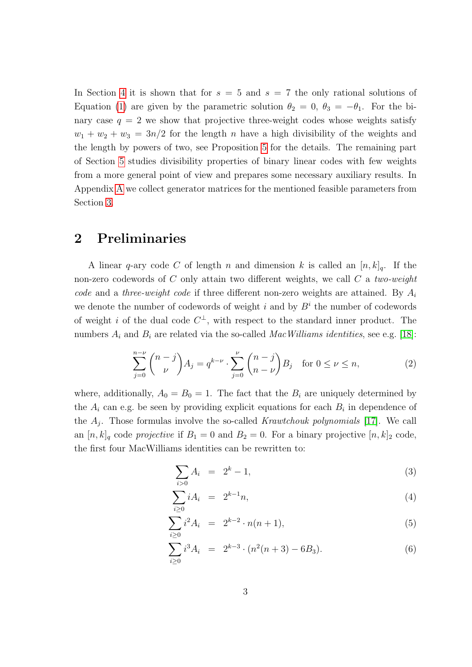In Section [4](#page-14-0) it is shown that for  $s = 5$  and  $s = 7$  the only rational solutions of Equation [\(1\)](#page-1-0) are given by the parametric solution  $\theta_2 = 0$ ,  $\theta_3 = -\theta_1$ . For the binary case  $q = 2$  we show that projective three-weight codes whose weights satisfy  $w_1 + w_2 + w_3 = 3n/2$  for the length n have a high divisibility of the weights and the length by powers of two, see Proposition [5](#page-19-0) for the details. The remaining part of Section [5](#page-16-0) studies divisibility properties of binary linear codes with few weights from a more general point of view and prepares some necessary auxiliary results. In Appendix [A](#page-24-0) we collect generator matrices for the mentioned feasible parameters from Section [3.](#page-4-0)

### <span id="page-2-0"></span>2 Preliminaries

A linear q-ary code C of length n and dimension k is called an  $[n, k]_q$ . If the non-zero codewords of  $C$  only attain two different weights, we call  $C$  a two-weight code and a three-weight code if three different non-zero weights are attained. By  $A_i$ we denote the number of codewords of weight  $i$  and by  $B<sup>i</sup>$  the number of codewords of weight i of the dual code  $C^{\perp}$ , with respect to the standard inner product. The numbers  $A_i$  and  $B_i$  are related via the so-called *MacWilliams identities*, see e.g. [\[18\]](#page-23-4):

$$
\sum_{j=0}^{n-\nu} \binom{n-j}{\nu} A_j = q^{k-\nu} \cdot \sum_{j=0}^{\nu} \binom{n-j}{n-\nu} B_j \quad \text{for } 0 \le \nu \le n,
$$
 (2)

where, additionally,  $A_0 = B_0 = 1$ . The fact that the  $B_i$  are uniquely determined by the  $A_i$  can e.g. be seen by providing explicit equations for each  $B_i$  in dependence of the  $A_j$ . Those formulas involve the so-called Krawtchouk polynomials [\[17\]](#page-23-5). We call an  $[n, k]_q$  code projective if  $B_1 = 0$  and  $B_2 = 0$ . For a binary projective  $[n, k]_2$  code, the first four MacWilliams identities can be rewritten to:

<span id="page-2-1"></span>
$$
\sum_{i>0} A_i = 2^k - 1,\tag{3}
$$

$$
\sum_{i\geq 0} iA_i = 2^{k-1}n,\tag{4}
$$

$$
\sum_{i\geq 0} i^2 A_i = 2^{k-2} \cdot n(n+1), \tag{5}
$$

$$
\sum_{i\geq 0} i^3 A_i = 2^{k-3} \cdot (n^2(n+3) - 6B_3). \tag{6}
$$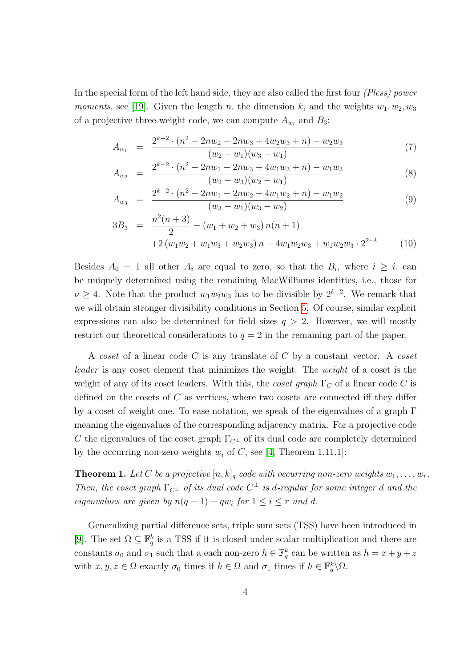In the special form of the left hand side, they are also called the first four (Pless) power *moments*, see [\[19\]](#page-23-6). Given the length n, the dimension k, and the weights  $w_1, w_2, w_3$ of a projective three-weight code, we can compute  $A_{w_i}$  and  $B_3$ :

<span id="page-3-1"></span>
$$
A_{w_1} = \frac{2^{k-2} \cdot (n^2 - 2nw_2 - 2nw_3 + 4w_2w_3 + n) - w_2w_3}{(w_2 - w_1)(w_3 - w_1)} \tag{7}
$$

$$
A_{w_2} = \frac{2^{k-2} \cdot (n^2 - 2nw_1 - 2nw_3 + 4w_1w_3 + n) - w_1w_3}{(w_2 - w_3)(w_2 - w_1)} \tag{8}
$$

$$
A_{w_3} = \frac{2^{k-2} \cdot (n^2 - 2nw_1 - 2nw_2 + 4w_1w_2 + n) - w_1w_2}{(w_3 - w_1)(w_3 - w_2)} \tag{9}
$$

$$
3B_3 = \frac{n^2(n+3)}{2} - (w_1 + w_2 + w_3) n(n+1) + 2(w_1w_2 + w_1w_3 + w_2w_3) n - 4w_1w_2w_3 + w_1w_2w_3 \cdot 2^{2-k}
$$
 (10)

Besides  $A_0 = 1$  all other  $A_i$  are equal to zero, so that the  $B_i$ , where  $i \geq i$ , can be uniquely determined using the remaining MacWilliams identities, i.e., those for  $\nu \geq 4$ . Note that the product  $w_1 w_2 w_3$  has to be divisible by  $2^{k-2}$ . We remark that we will obtain stronger divisibility conditions in Section [5.](#page-16-0) Of course, similar explicit expressions can also be determined for field sizes  $q > 2$ . However, we will mostly restrict our theoretical considerations to  $q = 2$  in the remaining part of the paper.

A coset of a linear code C is any translate of C by a constant vector. A coset leader is any coset element that minimizes the weight. The weight of a coset is the weight of any of its coset leaders. With this, the *coset graph*  $\Gamma_C$  of a linear code C is defined on the cosets of C as vertices, where two cosets are connected iff they differ by a coset of weight one. To ease notation, we speak of the eigenvalues of a graph Γ meaning the eigenvalues of the corresponding adjacency matrix. For a projective code C the eigenvalues of the coset graph  $\Gamma_{C^{\perp}}$  of its dual code are completely determined by the occurring non-zero weights  $w_i$  of C, see [\[4,](#page-22-3) Theorem 1.11.1]:

<span id="page-3-0"></span>**Theorem 1.** Let C be a projective  $[n, k]_q$  code with occurring non-zero weights  $w_1, \ldots, w_r$ . Then, the coset graph  $\Gamma_{C^{\perp}}$  of its dual code  $C^{\perp}$  is d-regular for some integer d and the eigenvalues are given by  $n(q-1) - qw_i$  for  $1 \le i \le r$  and d.

Generalizing partial difference sets, triple sum sets (TSS) have been introduced in [\[9\]](#page-22-4). The set  $\Omega \subseteq \mathbb{F}_q^k$  is a TSS if it is closed under scalar multiplication and there are constants  $\sigma_0$  and  $\sigma_1$  such that a each non-zero  $h \in \mathbb{F}_q^k$  can be written as  $h = x + y + z$ with  $x, y, z \in \Omega$  exactly  $\sigma_0$  times if  $h \in \Omega$  and  $\sigma_1$  times if  $h \in \mathbb{F}_q^k \setminus \Omega$ .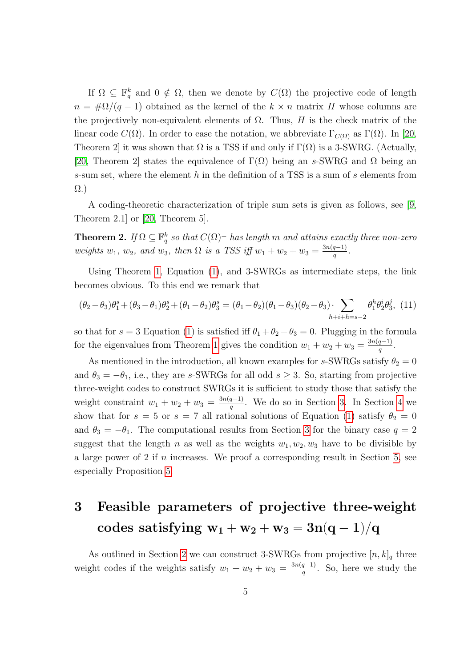If  $\Omega \subseteq \mathbb{F}_q^k$  and  $0 \notin \Omega$ , then we denote by  $C(\Omega)$  the projective code of length  $n = \frac{\mu}{2}(q-1)$  obtained as the kernel of the  $k \times n$  matrix H whose columns are the projectively non-equivalent elements of  $\Omega$ . Thus, H is the check matrix of the linear code  $C(\Omega)$ . In order to ease the notation, we abbreviate  $\Gamma_{C(\Omega)}$  as  $\Gamma(\Omega)$ . In [\[20,](#page-23-1) Theorem 2] it was shown that  $\Omega$  is a TSS if and only if  $\Gamma(\Omega)$  is a 3-SWRG. (Actually, [\[20,](#page-23-1) Theorem 2] states the equivalence of  $\Gamma(\Omega)$  being an s-SWRG and  $\Omega$  being an s-sum set, where the element h in the definition of a TSS is a sum of s elements from Ω.)

A coding-theoretic characterization of triple sum sets is given as follows, see [\[9,](#page-22-4) Theorem 2.1] or [\[20,](#page-23-1) Theorem 5].

**Theorem 2.** If  $\Omega \subseteq \mathbb{F}_q^k$  so that  $C(\Omega)^{\perp}$  has length m and attains exactly three non-zero weights  $w_1, w_2,$  and  $w_3$ , then  $\Omega$  is a TSS iff  $w_1 + w_2 + w_3 = \frac{3n(q-1)}{q}$  $\frac{q-1)}{q}$ .

Using Theorem [1,](#page-3-0) Equation [\(1\)](#page-1-0), and 3-SWRGs as intermediate steps, the link becomes obvious. To this end we remark that

<span id="page-4-1"></span>
$$
(\theta_2 - \theta_3)\theta_1^s + (\theta_3 - \theta_1)\theta_2^s + (\theta_1 - \theta_2)\theta_3^s = (\theta_1 - \theta_2)(\theta_1 - \theta_3)(\theta_2 - \theta_3) \cdot \sum_{h+i+h=s-2} \theta_1^h \theta_2^i \theta_3^j, (11)
$$

so that for  $s = 3$  Equation [\(1\)](#page-1-0) is satisfied iff  $\theta_1 + \theta_2 + \theta_3 = 0$ . Plugging in the formula for the eigenvalues from Theorem [1](#page-3-0) gives the condition  $w_1 + w_2 + w_3 = \frac{3n(q-1)}{q}$  $rac{q-1)}{q}$ .

As mentioned in the introduction, all known examples for s-SWRGs satisfy  $\theta_2 = 0$ and  $\theta_3 = -\theta_1$ , i.e., they are s-SWRGs for all odd  $s \geq 3$ . So, starting from projective three-weight codes to construct SWRGs it is sufficient to study those that satisfy the weight constraint  $w_1 + w_2 + w_3 = \frac{3n(q-1)}{q}$  $\frac{q-1}{q}$ . We do so in Section [3.](#page-4-0) In Section [4](#page-14-0) we show that for  $s = 5$  or  $s = 7$  all rational solutions of Equation [\(1\)](#page-1-0) satisfy  $\theta_2 = 0$ and  $\theta_3 = -\theta_1$ . The computational results from Section [3](#page-4-0) for the binary case  $q = 2$ suggest that the length n as well as the weights  $w_1, w_2, w_3$  have to be divisible by a large power of 2 if n increases. We proof a corresponding result in Section [5,](#page-16-0) see especially Proposition [5.](#page-19-0)

## <span id="page-4-0"></span>3 Feasible parameters of projective three-weight codes satisfying  $w_1 + w_2 + w_3 = 3n(q-1)/q$

As outlined in Section [2](#page-2-0) we can construct 3-SWRGs from projective  $[n, k]_q$  three weight codes if the weights satisfy  $w_1 + w_2 + w_3 = \frac{3n(q-1)}{q}$  $\frac{q-1}{q}$ . So, here we study the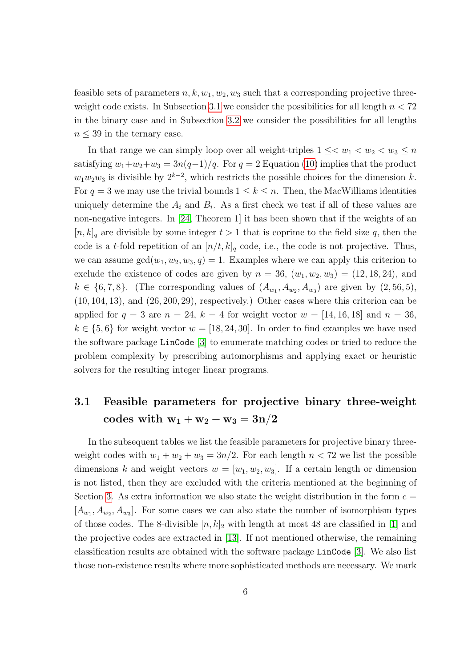feasible sets of parameters  $n, k, w_1, w_2, w_3$  such that a corresponding projective three-weight code exists. In Subsection [3.1](#page-5-0) we consider the possibilities for all length  $n < 72$ in the binary case and in Subsection [3.2](#page-12-0) we consider the possibilities for all lengths  $n \leq 39$  in the ternary case.

In that range we can simply loop over all weight-triples  $1 \leq \lt w_1 \lt w_2 \lt w_3 \leq n$ satisfying  $w_1+w_2+w_3 = 3n(q-1)/q$ . For  $q = 2$  Equation [\(10\)](#page-3-1) implies that the product  $w_1w_2w_3$  is divisible by  $2^{k-2}$ , which restricts the possible choices for the dimension k. For  $q = 3$  we may use the trivial bounds  $1 \leq k \leq n$ . Then, the MacWilliams identities uniquely determine the  $A_i$  and  $B_i$ . As a first check we test if all of these values are non-negative integers. In [\[24,](#page-23-7) Theorem 1] it has been shown that if the weights of an  $[n, k]_q$  are divisible by some integer  $t > 1$  that is coprime to the field size q, then the code is a t-fold repetition of an  $[n/t, k]_q$  code, i.e., the code is not projective. Thus, we can assume  $gcd(w_1, w_2, w_3, q) = 1$ . Examples where we can apply this criterion to exclude the existence of codes are given by  $n = 36$ ,  $(w_1, w_2, w_3) = (12, 18, 24)$ , and  $k \in \{6, 7, 8\}$ . (The corresponding values of  $(A_{w_1}, A_{w_2}, A_{w_3})$  are given by  $(2, 56, 5)$ ,  $(10, 104, 13)$ , and  $(26, 200, 29)$ , respectively.) Other cases where this criterion can be applied for  $q = 3$  are  $n = 24$ ,  $k = 4$  for weight vector  $w = |14, 16, 18|$  and  $n = 36$ ,  $k \in \{5,6\}$  for weight vector  $w = [18, 24, 30]$ . In order to find examples we have used the software package LinCode [\[3\]](#page-22-5) to enumerate matching codes or tried to reduce the problem complexity by prescribing automorphisms and applying exact or heuristic solvers for the resulting integer linear programs.

## <span id="page-5-0"></span>3.1 Feasible parameters for projective binary three-weight codes with  $w_1 + w_2 + w_3 = 3n/2$

In the subsequent tables we list the feasible parameters for projective binary threeweight codes with  $w_1 + w_2 + w_3 = 3n/2$ . For each length  $n < 72$  we list the possible dimensions k and weight vectors  $w = [w_1, w_2, w_3]$ . If a certain length or dimension is not listed, then they are excluded with the criteria mentioned at the beginning of Section [3.](#page-4-0) As extra information we also state the weight distribution in the form  $e =$  $[A_{w_1}, A_{w_2}, A_{w_3}]$ . For some cases we can also state the number of isomorphism types of those codes. The 8-divisible  $[n, k]_2$  with length at most 48 are classified in [\[1\]](#page-22-6) and the projective codes are extracted in [\[13\]](#page-23-8). If not mentioned otherwise, the remaining classification results are obtained with the software package LinCode [\[3\]](#page-22-5). We also list those non-existence results where more sophisticated methods are necessary. We mark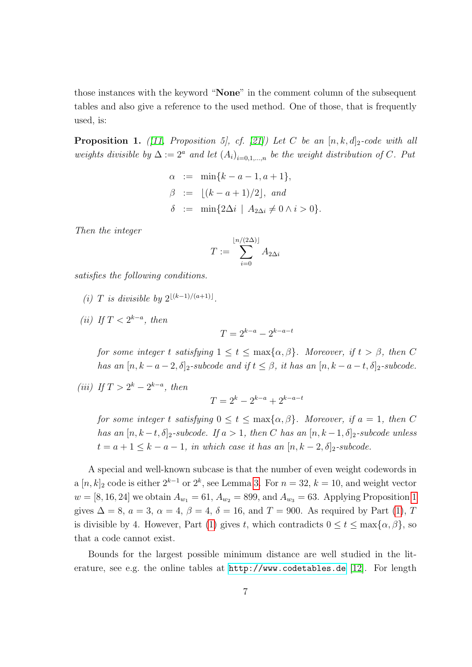those instances with the keyword "None" in the comment column of the subsequent tables and also give a reference to the used method. One of those, that is frequently used, is:

<span id="page-6-0"></span>**Proposition 1.** ([\[11,](#page-22-7) Proposition 5], cf. [\[21\]](#page-23-9)) Let C be an  $[n, k, d]_2$ -code with all weights divisible by  $\Delta := 2^a$  and let  $(A_i)_{i=0,1,...,n}$  be the weight distribution of C. Put

$$
α := min{k-a-1, a+1},\nβ := [(k-a+1)/2], and\nδ := min{2Δi | A2Δi ≠ 0 ∧ i > 0}.
$$

Then the integer

$$
T := \sum_{i=0}^{\lfloor n/(2\Delta)\rfloor} A_{2\Delta i}
$$

satisfies the following conditions.

- (i) T is divisible by  $2^{\lfloor (k-1)/(a+1)\rfloor}$ .
- (ii) If  $T < 2^{k-a}$ , then

$$
T = 2^{k-a} - 2^{k-a-t}
$$

for some integer t satisfying  $1 \le t \le \max\{\alpha, \beta\}$ . Moreover, if  $t > \beta$ , then C has an  $[n, k - a - 2, \delta]_2$ -subcode and if  $t \leq \beta$ , it has an  $[n, k - a - t, \delta]_2$ -subcode.

(iii) If  $T > 2^k - 2^{k-a}$ , then

 $T = 2^k - 2^{k-a} + 2^{k-a-t}$ 

for some integer t satisfying  $0 \le t \le \max\{\alpha, \beta\}$ . Moreover, if  $a = 1$ , then C has an  $[n, k-t, \delta]_2$ -subcode. If  $a > 1$ , then C has an  $[n, k-1, \delta]_2$ -subcode unless  $t = a + 1 \leq k - a - 1$ , in which case it has an  $[n, k - 2, \delta]_2$ -subcode.

A special and well-known subcase is that the number of even weight codewords in a  $[n, k]_2$  code is either  $2^{k-1}$  or  $2^k$ , see Lemma [3.](#page-17-0) For  $n = 32$ ,  $k = 10$ , and weight vector  $w = [8, 16, 24]$  $w = [8, 16, 24]$  $w = [8, 16, 24]$  we obtain  $A_{w_1} = 61$ ,  $A_{w_2} = 899$ , and  $A_{w_3} = 63$ . Applying Proposition 1 gives  $\Delta = 8$ ,  $a = 3$ ,  $\alpha = 4$ ,  $\beta = 4$ ,  $\delta = 16$ , and  $T = 900$ . As required by Part [\(1\)](#page-6-0), T is divisible by 4. However, Part [\(1\)](#page-6-0) gives t, which contradicts  $0 \le t \le \max\{\alpha, \beta\}$ , so that a code cannot exist.

Bounds for the largest possible minimum distance are well studied in the literature, see e.g. the online tables at <http://www.codetables.de> [\[12\]](#page-22-8). For length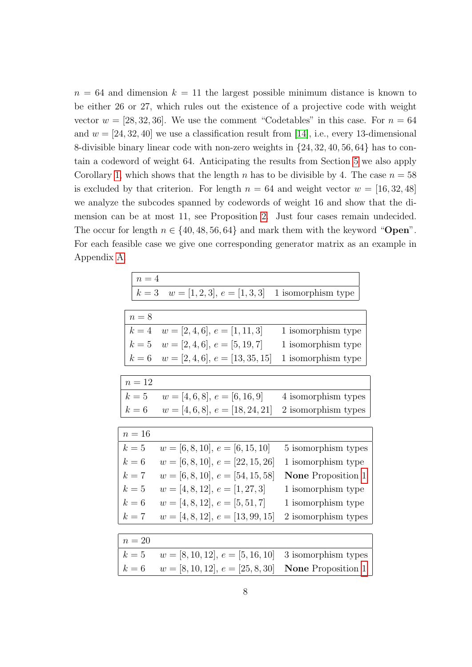$n = 64$  and dimension  $k = 11$  the largest possible minimum distance is known to be either 26 or 27, which rules out the existence of a projective code with weight vector  $w = [28, 32, 36]$ . We use the comment "Codetables" in this case. For  $n = 64$ and  $w = \begin{bmatrix} 24, 32, 40 \end{bmatrix}$  we use a classification result from [\[14\]](#page-23-10), i.e., every 13-dimensional 8-divisible binary linear code with non-zero weights in {24, 32, 40, 56, 64} has to contain a codeword of weight 64. Anticipating the results from Section [5](#page-16-0) we also apply Corollary [1,](#page-18-0) which shows that the length n has to be divisible by 4. The case  $n = 58$ is excluded by that criterion. For length  $n = 64$  and weight vector  $w = [16, 32, 48]$ we analyze the subcodes spanned by codewords of weight 16 and show that the dimension can be at most 11, see Proposition [2.](#page-10-0) Just four cases remain undecided. The occur for length  $n \in \{40, 48, 56, 64\}$  and mark them with the keyword "Open". For each feasible case we give one corresponding generator matrix as an example in Appendix [A.](#page-24-0)

| $\sqrt{n} = 4$ |                                    |                           |
|----------------|------------------------------------|---------------------------|
| $k=3$          | $w = [1, 2, 3], e = [1, 3, 3]$     | 1 isomorphism type        |
|                |                                    |                           |
| $n=8$          |                                    |                           |
| $k=4$          | $w = [2, 4, 6], e = [1, 11, 3]$    | 1 isomorphism type        |
| $k=5$          | $w = [2, 4, 6], e = [5, 19, 7]$    | 1 isomorphism type        |
| $k=6$          | $w = [2, 4, 6], e = [13, 35, 15]$  | 1 isomorphism type        |
|                |                                    |                           |
| $n=12$         |                                    |                           |
| $k=5$          | $w = [4, 6, 8], e = [6, 16, 9]$    | 4 isomorphism types       |
| $k=6$          | $w = [4, 6, 8], e = [18, 24, 21]$  | 2 isomorphism types       |
|                |                                    |                           |
| $n=16$         |                                    |                           |
| $k=5$          | $w = [6, 8, 10], e = [6, 15, 10]$  | 5 isomorphism types       |
| $k=6$          | $w = [6, 8, 10], e = [22, 15, 26]$ | 1 isomorphism type        |
| $k=7$          | $w = [6, 8, 10], e = [54, 15, 58]$ | <b>None</b> Proposition 1 |
| $k=5$          | $w = [4, 8, 12], e = [1, 27, 3]$   | 1 isomorphism type        |
| $k=6$          | $w = [4, 8, 12], e = [5, 51, 7]$   | 1 isomorphism type        |
| $k=7$          | $w = [4, 8, 12], e = [13, 99, 15]$ | 2 isomorphism types       |
|                |                                    |                           |
| $n=20$         |                                    |                           |
| $k=5$          | $w = [8, 10, 12], e = [5, 16, 10]$ | 3 isomorphism types       |
| $k=6$          | $w = [8, 10, 12], e = [25, 8, 30]$ | <b>None</b> Proposition 1 |
|                |                                    |                           |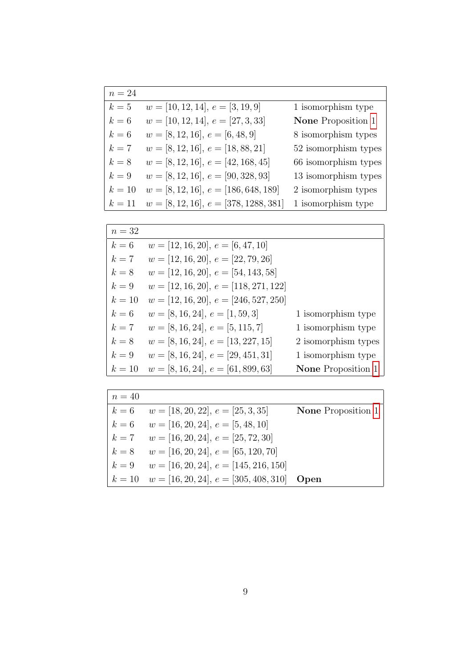| $n=24$ |                                         |                      |
|--------|-----------------------------------------|----------------------|
| $k=5$  | $w = [10, 12, 14], e = [3, 19, 9]$      | 1 isomorphism type   |
| $k=6$  | $w = [10, 12, 14], e = [27, 3, 33]$     | None Proposition 1   |
| $k=6$  | $w = [8, 12, 16], e = [6, 48, 9]$       | 8 isomorphism types  |
| $k=7$  | $w = [8, 12, 16], e = [18, 88, 21]$     | 52 isomorphism types |
| $k=8$  | $w = [8, 12, 16], e = [42, 168, 45]$    | 66 isomorphism types |
| $k=9$  | $w = [8, 12, 16], e = [90, 328, 93]$    | 13 isomorphism types |
| $k=10$ | $w = [8, 12, 16], e = [186, 648, 189]$  | 2 isomorphism types  |
| $k=11$ | $w = [8, 12, 16], e = [378, 1288, 381]$ | 1 isomorphism type   |

| $n=32$ |                                         |                           |
|--------|-----------------------------------------|---------------------------|
| $k=6$  | $w = [12, 16, 20], e = [6, 47, 10]$     |                           |
| $k=7$  | $w = [12, 16, 20], e = [22, 79, 26]$    |                           |
| $k=8$  | $w = [12, 16, 20], e = [54, 143, 58]$   |                           |
| $k=9$  | $w = [12, 16, 20], e = [118, 271, 122]$ |                           |
| $k=10$ | $w = [12, 16, 20], e = [246, 527, 250]$ |                           |
| $k=6$  | $w = [8, 16, 24], e = [1, 59, 3]$       | 1 isomorphism type        |
| $k=7$  | $w = [8, 16, 24], e = [5, 115, 7]$      | 1 isomorphism type        |
| $k=8$  | $w = [8, 16, 24], e = [13, 227, 15]$    | 2 isomorphism types       |
| $k=9$  | $w = [8, 16, 24], e = [29, 451, 31]$    | 1 isomorphism type        |
| $k=10$ | $w = [8, 16, 24], e = [61, 899, 63]$    | <b>None</b> Proposition 1 |

| $n=40$ |                                                       |                           |
|--------|-------------------------------------------------------|---------------------------|
|        | $k = 6$ $w = [18, 20, 22], e = [25, 3, 35]$           | <b>None</b> Proposition 1 |
|        | $k = 6$ $w = [16, 20, 24], e = [5, 48, 10]$           |                           |
|        | $k = 7$ $w = [16, 20, 24], e = [25, 72, 30]$          |                           |
|        | $k = 8$ $w = [16, 20, 24], e = [65, 120, 70]$         |                           |
|        | $k = 9$ $w = [16, 20, 24], e = [145, 216, 150]$       |                           |
|        | $k = 10$ $w = [16, 20, 24], e = [305, 408, 310]$ Open |                           |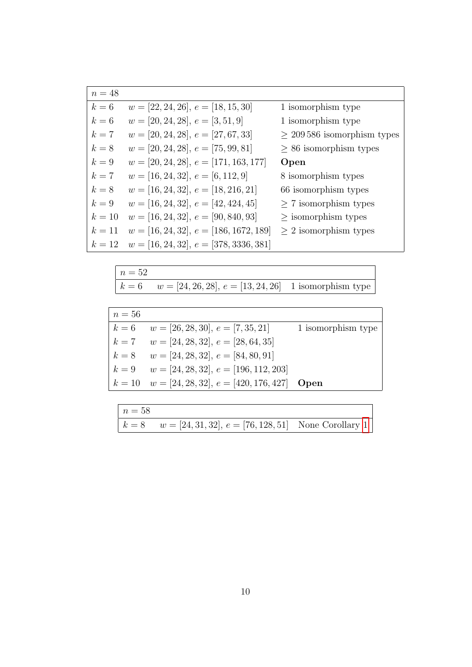| $n=48$ |                                          |                                 |
|--------|------------------------------------------|---------------------------------|
| $k=6$  | $w = [22, 24, 26], e = [18, 15, 30]$     | 1 isomorphism type              |
| $k=6$  | $w = [20, 24, 28], e = [3, 51, 9]$       | 1 isomorphism type              |
| $k=7$  | $w = [20, 24, 28], e = [27, 67, 33]$     | $\geq 209586$ isomorphism types |
| $k=8$  | $w = [20, 24, 28], e = [75, 99, 81]$     | $\geq$ 86 isomorphism types     |
| $k=9$  | $w = [20, 24, 28], e = [171, 163, 177]$  | Open                            |
| $k=7$  | $w = [16, 24, 32], e = [6, 112, 9]$      | 8 isomorphism types             |
| $k=8$  | $w = [16, 24, 32], e = [18, 216, 21]$    | 66 isomorphism types            |
| $k=9$  | $w = [16, 24, 32], e = [42, 424, 45]$    | $\geq$ 7 isomorphism types      |
| $k=10$ | $w = [16, 24, 32], e = [90, 840, 93]$    | $\geq$ isomorphism types        |
| $k=11$ | $w = [16, 24, 32], e = [186, 1672, 189]$ | $> 2$ isomorphism types         |
| $k=12$ | $w = [16, 24, 32], e = [378, 3336, 381]$ |                                 |

| $n=52$ |                                                                 |  |
|--------|-----------------------------------------------------------------|--|
|        | $k = 6$ $w = [24, 26, 28], e = [13, 24, 26]$ 1 isomorphism type |  |

| $n=56$ |                                                       |                    |
|--------|-------------------------------------------------------|--------------------|
|        | $k = 6$ $w = [26, 28, 30], e = [7, 35, 21]$           | 1 isomorphism type |
|        | $k = 7$ $w = [24, 28, 32], e = [28, 64, 35]$          |                    |
|        | $k = 8$ $w = [24, 28, 32], e = [84, 80, 91]$          |                    |
|        | $k = 9$ $w = [24, 28, 32], e = [196, 112, 203]$       |                    |
|        | $k = 10$ $w = [24, 28, 32], e = [420, 176, 427]$ Open |                    |

| $n = 58$ |                                                                |  |
|----------|----------------------------------------------------------------|--|
|          | $k = 8$ $w = [24, 31, 32], e = [76, 128, 51]$ None Corollary 1 |  |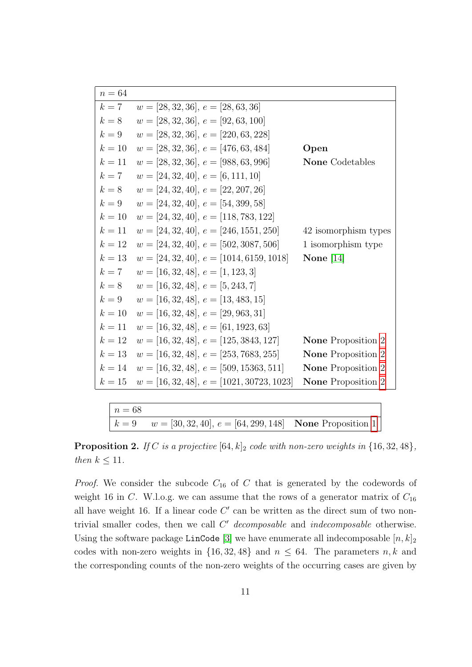| $n=64$ |                                             |                           |
|--------|---------------------------------------------|---------------------------|
| $k=7$  | $w = [28, 32, 36], e = [28, 63, 36]$        |                           |
| $k=8$  | $w = [28, 32, 36], e = [92, 63, 100]$       |                           |
| $k=9$  | $w = [28, 32, 36], e = [220, 63, 228]$      |                           |
| $k=10$ | $w = [28, 32, 36], e = [476, 63, 484]$      | Open                      |
| $k=11$ | $w = [28, 32, 36], e = [988, 63, 996]$      | <b>None</b> Codetables    |
| $k=7$  | $w = [24, 32, 40], e = [6, 111, 10]$        |                           |
| $k=8$  | $w = [24, 32, 40], e = [22, 207, 26]$       |                           |
| $k=9$  | $w = [24, 32, 40], e = [54, 399, 58]$       |                           |
| $k=10$ | $w = [24, 32, 40], e = [118, 783, 122]$     |                           |
| $k=11$ | $w = [24, 32, 40], e = [246, 1551, 250]$    | 42 isomorphism types      |
| $k=12$ | $w = [24, 32, 40], e = [502, 3087, 506]$    | 1 isomorphism type        |
| $k=13$ | $w = [24, 32, 40], e = [1014, 6159, 1018]$  | None $[14]$               |
| $k=7$  | $w = [16, 32, 48], e = [1, 123, 3]$         |                           |
| $k=8$  | $w = [16, 32, 48], e = [5, 243, 7]$         |                           |
| $k=9$  | $w = [16, 32, 48], e = [13, 483, 15]$       |                           |
| $k=10$ | $w = [16, 32, 48], e = [29, 963, 31]$       |                           |
| $k=11$ | $w = [16, 32, 48], e = [61, 1923, 63]$      |                           |
| $k=12$ | $w = [16, 32, 48], e = [125, 3843, 127]$    | <b>None</b> Proposition 2 |
| $k=13$ | $w = [16, 32, 48], e = [253, 7683, 255]$    | <b>None</b> Proposition 2 |
| $k=14$ | $w = [16, 32, 48], e = [509, 15363, 511]$   | <b>None</b> Proposition 2 |
| $k=15$ | $w = [16, 32, 48], e = [1021, 30723, 1023]$ | <b>None</b> Proposition 2 |

| $n = 68$ |                                                                   |  |
|----------|-------------------------------------------------------------------|--|
|          | $k = 9$ $w = [30, 32, 40], e = [64, 299, 148]$ None Proposition 1 |  |

<span id="page-10-0"></span>**Proposition 2.** If C is a projective  $[64, k]_2$  code with non-zero weights in  $\{16, 32, 48\}$ , then  $k \leq 11$ .

*Proof.* We consider the subcode  $C_{16}$  of C that is generated by the codewords of weight 16 in C. W.l.o.g. we can assume that the rows of a generator matrix of  $C_{16}$ all have weight 16. If a linear code  $C'$  can be written as the direct sum of two nontrivial smaller codes, then we call  $C<sup>'</sup> decomposable$  and indecomposable otherwise. Using the software package LinCode [\[3\]](#page-22-5) we have enumerate all indecomposable  $[n, k]_2$ codes with non-zero weights in  $\{16, 32, 48\}$  and  $n \leq 64$ . The parameters n, k and the corresponding counts of the non-zero weights of the occurring cases are given by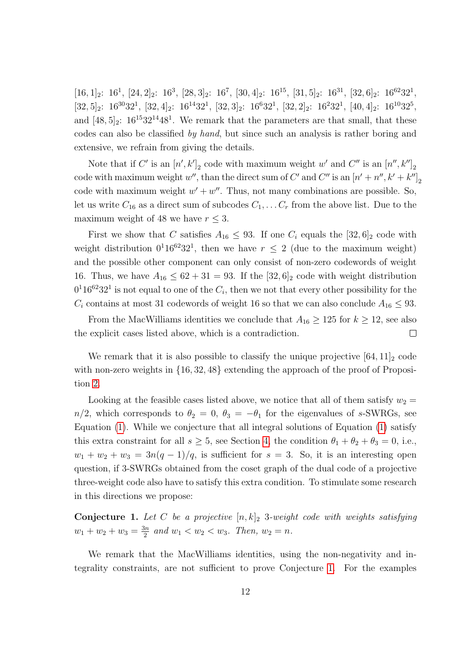$[16, 1]_2$ : 16<sup>1</sup>,  $[24, 2]_2$ : 16<sup>3</sup>,  $[28, 3]_2$ : 16<sup>7</sup>,  $[30, 4]_2$ : 16<sup>15</sup>,  $[31, 5]_2$ : 16<sup>31</sup>,  $[32, 6]_2$ : 16<sup>62</sup>32<sup>1</sup>,  $[32,5]_2$ :  $16^{30}32^1$ ,  $[32,4]_2$ :  $16^{14}32^1$ ,  $[32,3]_2$ :  $16^632^1$ ,  $[32,2]_2$ :  $16^232^1$ ,  $[40,4]_2$ :  $16^{10}32^5$ , and  $[48, 5]_2$ :  $16^{15}32^{14}48^1$ . We remark that the parameters are that small, that these codes can also be classified by hand, but since such an analysis is rather boring and extensive, we refrain from giving the details.

Note that if C' is an  $[n', k']_2$  code with maximum weight w' and C'' is an  $[n'', k'']_2$ code with maximum weight  $w''$ , than the direct sum of  $C'$  and  $C''$  is an  $[n' + n'', k' + k'']_2$ code with maximum weight  $w' + w''$ . Thus, not many combinations are possible. So, let us write  $C_{16}$  as a direct sum of subcodes  $C_1, \ldots C_r$  from the above list. Due to the maximum weight of 48 we have  $r \leq 3$ .

First we show that C satisfies  $A_{16} \leq 93$ . If one  $C_i$  equals the  $[32, 6]_2$  code with weight distribution  $0^1 16^{62} 32^1$ , then we have  $r \leq 2$  (due to the maximum weight) and the possible other component can only consist of non-zero codewords of weight 16. Thus, we have  $A_{16} \leq 62 + 31 = 93$ . If the  $[32, 6]_2$  code with weight distribution  $0<sup>1</sup>16<sup>62</sup>32<sup>1</sup>$  is not equal to one of the  $C_i$ , then we not that every other possibility for the  $C_i$  contains at most 31 codewords of weight 16 so that we can also conclude  $A_{16} \leq 93$ .

From the MacWilliams identities we conclude that  $A_{16} \geq 125$  for  $k \geq 12$ , see also the explicit cases listed above, which is a contradiction.  $\Box$ 

We remark that it is also possible to classify the unique projective  $[64, 11]_2$  code with non-zero weights in  $\{16, 32, 48\}$  extending the approach of the proof of Proposition [2.](#page-10-0)

Looking at the feasible cases listed above, we notice that all of them satisfy  $w_2 =$  $n/2$ , which corresponds to  $\theta_2 = 0$ ,  $\theta_3 = -\theta_1$  for the eigenvalues of s-SWRGs, see Equation [\(1\)](#page-1-0). While we conjecture that all integral solutions of Equation [\(1\)](#page-1-0) satisfy this extra constraint for all  $s \geq 5$ , see Section [4,](#page-14-0) the condition  $\theta_1 + \theta_2 + \theta_3 = 0$ , i.e.,  $w_1 + w_2 + w_3 = 3n(q-1)/q$ , is sufficient for  $s = 3$ . So, it is an interesting open question, if 3-SWRGs obtained from the coset graph of the dual code of a projective three-weight code also have to satisfy this extra condition. To stimulate some research in this directions we propose:

<span id="page-11-0"></span>**Conjecture 1.** Let C be a projective  $[n, k]_2$  3-weight code with weights satisfying  $w_1 + w_2 + w_3 = \frac{3n}{2}$  $\frac{3n}{2}$  and  $w_1 < w_2 < w_3$ . Then,  $w_2 = n$ .

We remark that the MacWilliams identities, using the non-negativity and integrality constraints, are not sufficient to prove Conjecture [1.](#page-11-0) For the examples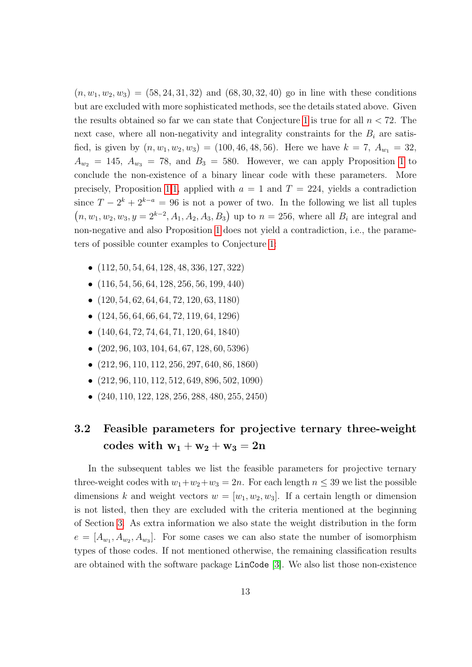$(n, w_1, w_2, w_3) = (58, 24, 31, 32)$  and  $(68, 30, 32, 40)$  go in line with these conditions but are excluded with more sophisticated methods, see the details stated above. Given the results obtained so far we can state that Conjecture [1](#page-11-0) is true for all  $n < 72$ . The next case, where all non-negativity and integrality constraints for the  $B_i$  are satisfied, is given by  $(n, w_1, w_2, w_3) = (100, 46, 48, 56)$ . Here we have  $k = 7$ ,  $A_{w_1} = 32$ ,  $A_{w_2} = 145$  $A_{w_2} = 145$  $A_{w_2} = 145$ ,  $A_{w_3} = 78$ , and  $B_3 = 580$ . However, we can apply Proposition 1 to conclude the non-existence of a binary linear code with these parameters. More precisely, Proposition [1.1,](#page-6-0) applied with  $a = 1$  and  $T = 224$ , yields a contradiction since  $T - 2^k + 2^{k-a} = 96$  is not a power of two. In the following we list all tuples  $(n, w_1, w_2, w_3, y = 2^{k-2}, A_1, A_2, A_3, B_3)$  up to  $n = 256$ , where all  $B_i$  are integral and non-negative and also Proposition [1](#page-6-0) does not yield a contradiction, i.e., the parameters of possible counter examples to Conjecture [1:](#page-11-0)

- (112, 50, 54, 64, 128, 48, 336, 127, 322)
- $\bullet$  (116, 54, 56, 64, 128, 256, 56, 199, 440)
- $\bullet$   $(120, 54, 62, 64, 64, 72, 120, 63, 1180)$
- $\bullet$   $(124, 56, 64, 66, 64, 72, 119, 64, 1296)$
- $\bullet$   $(140, 64, 72, 74, 64, 71, 120, 64, 1840)$
- $\bullet$  (202, 96, 103, 104, 64, 67, 128, 60, 5396)
- $\bullet$   $(212, 96, 110, 112, 256, 297, 640, 86, 1860)$
- $\bullet$  (212, 96, 110, 112, 512, 649, 896, 502, 1090)
- (240, 110, 122, 128, 256, 288, 480, 255, 2450)

## <span id="page-12-0"></span>3.2 Feasible parameters for projective ternary three-weight  $\mathrm{codes\;with}\; \mathrm{w}_1+\mathrm{w}_2+\mathrm{w}_3=2\mathrm{n}$

In the subsequent tables we list the feasible parameters for projective ternary three-weight codes with  $w_1+w_2+w_3=2n$ . For each length  $n \leq 39$  we list the possible dimensions k and weight vectors  $w = [w_1, w_2, w_3]$ . If a certain length or dimension is not listed, then they are excluded with the criteria mentioned at the beginning of Section [3.](#page-4-0) As extra information we also state the weight distribution in the form  $e = [A_{w_1}, A_{w_2}, A_{w_3}]$ . For some cases we can also state the number of isomorphism types of those codes. If not mentioned otherwise, the remaining classification results are obtained with the software package LinCode [\[3\]](#page-22-5). We also list those non-existence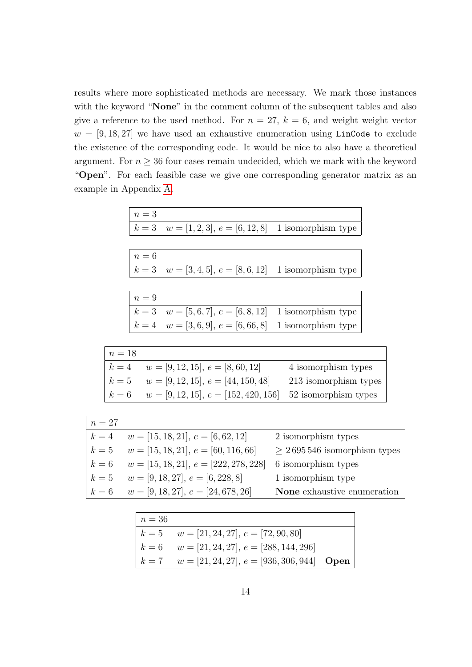results where more sophisticated methods are necessary. We mark those instances with the keyword "None" in the comment column of the subsequent tables and also give a reference to the used method. For  $n = 27$ ,  $k = 6$ , and weight weight vector  $w = [9, 18, 27]$  we have used an exhaustive enumeration using LinCode to exclude the existence of the corresponding code. It would be nice to also have a theoretical argument. For  $n \geq 36$  four cases remain undecided, which we mark with the keyword "Open". For each feasible case we give one corresponding generator matrix as an example in Appendix [A.](#page-24-0)

| $n=3$ |                                                            |  |
|-------|------------------------------------------------------------|--|
|       | $k = 3$ $w = [1, 2, 3], e = [6, 12, 8]$ 1 isomorphism type |  |

| $n=6$ |                                                            |  |
|-------|------------------------------------------------------------|--|
|       | $k = 3$ $w = [3, 4, 5], e = [8, 6, 12]$ 1 isomorphism type |  |

| $n=9$ |                                                            |  |
|-------|------------------------------------------------------------|--|
|       | $k = 3$ $w = [5, 6, 7], e = [6, 8, 12]$ 1 isomorphism type |  |
|       | $k = 4$ $w = [3, 6, 9], e = [6, 66, 8]$ 1 isomorphism type |  |

| $n=18$ |                                                                     |                       |
|--------|---------------------------------------------------------------------|-----------------------|
|        | $k = 4$ $w = [9, 12, 15], e = [8, 60, 12]$                          | 4 isomorphism types   |
|        | $k = 5$ $w = [9, 12, 15], e = [44, 150, 48]$                        | 213 isomorphism types |
|        | $k = 6$ $w = [9, 12, 15], e = [152, 420, 156]$ 52 isomorphism types |                       |

| $n=27$ |                                                 |                                  |
|--------|-------------------------------------------------|----------------------------------|
| $k=4$  | $w = [15, 18, 21], e = [6, 62, 12]$             | 2 isomorphism types              |
| $k=5$  | $w = [15, 18, 21], e = [60, 116, 66]$           | $\geq 2695546$ isomorphism types |
|        | $k = 6$ $w = [15, 18, 21], e = [222, 278, 228]$ | 6 isomorphism types              |
| $k=5$  | $w = [9, 18, 27], e = [6, 228, 8]$              | 1 isomorphism type               |
|        | $k = 6$ $w = [9, 18, 27], e = [24, 678, 26]$    | None exhaustive enumeration      |

| $\mid n=36$ |                                                      |  |
|-------------|------------------------------------------------------|--|
|             | $k = 5$ $w = [21, 24, 27], e = [72, 90, 80]$         |  |
|             | $k = 6$ $w = [21, 24, 27], e = [288, 144, 296]$      |  |
|             | $k = 7$ $w = [21, 24, 27], e = [936, 306, 944]$ Open |  |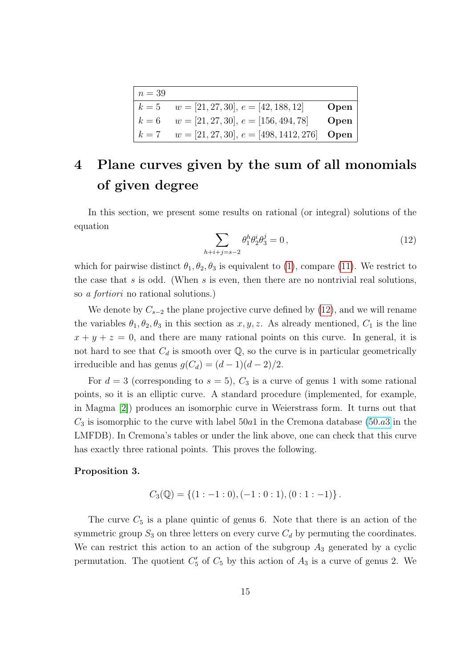| $n=39$ |                                                              |      |
|--------|--------------------------------------------------------------|------|
|        | $k = 5$ $w = [21, 27, 30], e = [42, 188, 12]$                | Open |
|        | $k = 6$ $w = [21, 27, 30], e = [156, 494, 78]$               | Open |
|        | $k = 7$ $w = [21, 27, 30], e = [498, 1412, 276]$ <b>Open</b> |      |

## <span id="page-14-0"></span>4 Plane curves given by the sum of all monomials of given degree

In this section, we present some results on rational (or integral) solutions of the equation

<span id="page-14-1"></span>
$$
\sum_{h+i+j=s-2} \theta_1^h \theta_2^i \theta_3^j = 0 \,, \tag{12}
$$

which for pairwise distinct  $\theta_1, \theta_2, \theta_3$  is equivalent to [\(1\)](#page-1-0), compare [\(11\)](#page-4-1). We restrict to the case that s is odd. (When s is even, then there are no nontrivial real solutions, so a fortiori no rational solutions.)

We denote by  $C_{s-2}$  the plane projective curve defined by [\(12\)](#page-14-1), and we will rename the variables  $\theta_1, \theta_2, \theta_3$  in this section as  $x, y, z$ . As already mentioned,  $C_1$  is the line  $x + y + z = 0$ , and there are many rational points on this curve. In general, it is not hard to see that  $C_d$  is smooth over  $\mathbb{Q}$ , so the curve is in particular geometrically irreducible and has genus  $g(C_d) = (d-1)(d-2)/2$ .

For  $d = 3$  (corresponding to  $s = 5$ ),  $C_3$  is a curve of genus 1 with some rational points, so it is an elliptic curve. A standard procedure (implemented, for example, in Magma [\[2\]](#page-22-9)) produces an isomorphic curve in Weierstrass form. It turns out that  $C_3$  is isomorphic to the curve with label 50a1 in the Cremona database [\(50](http://www.lmfdb.org/EllipticCurve/Q/50/a/3).a3 in the LMFDB). In Cremona's tables or under the link above, one can check that this curve has exactly three rational points. This proves the following.

#### <span id="page-14-2"></span>Proposition 3.

$$
C_3(\mathbb{Q}) = \{ (1:-1:0), (-1:0:1), (0:1:-1) \}.
$$

The curve  $C_5$  is a plane quintic of genus 6. Note that there is an action of the symmetric group  $S_3$  on three letters on every curve  $C_d$  by permuting the coordinates. We can restrict this action to an action of the subgroup  $A_3$  generated by a cyclic permutation. The quotient  $C_5'$  of  $C_5$  by this action of  $A_3$  is a curve of genus 2. We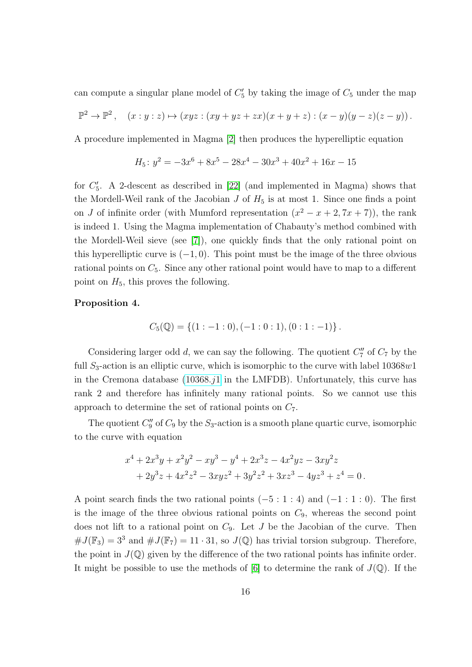can compute a singular plane model of  $C_5'$  by taking the image of  $C_5$  under the map

$$
\mathbb{P}^2 \to \mathbb{P}^2 \,, \quad (x:y:z) \mapsto (xyz : (xy + yz + zx)(x + y + z) : (x - y)(y - z)(z - y)) \,.
$$

A procedure implemented in Magma [\[2\]](#page-22-9) then produces the hyperelliptic equation

$$
H_5: y^2 = -3x^6 + 8x^5 - 28x^4 - 30x^3 + 40x^2 + 16x - 15
$$

for  $C_5'$ . A 2-descent as described in [\[22\]](#page-23-11) (and implemented in Magma) shows that the Mordell-Weil rank of the Jacobian  $J$  of  $H_5$  is at most 1. Since one finds a point on J of infinite order (with Mumford representation  $(x^2 - x + 2, 7x + 7)$ ), the rank is indeed 1. Using the Magma implementation of Chabauty's method combined with the Mordell-Weil sieve (see [\[7\]](#page-22-10)), one quickly finds that the only rational point on this hyperelliptic curve is  $(-1, 0)$ . This point must be the image of the three obvious rational points on  $C_5$ . Since any other rational point would have to map to a different point on  $H_5$ , this proves the following.

#### <span id="page-15-0"></span>Proposition 4.

$$
C_5(\mathbb{Q}) = \{ (1:-1:0), (-1:0:1), (0:1:-1) \}.
$$

Considering larger odd  $d$ , we can say the following. The quotient  $C''_7$  of  $C_7$  by the full  $S_3$ -action is an elliptic curve, which is isomorphic to the curve with label  $10368w1$ in the Cremona database  $(10368.11)$  in the LMFDB). Unfortunately, this curve has rank 2 and therefore has infinitely many rational points. So we cannot use this approach to determine the set of rational points on  $C_7$ .

The quotient  $C''_9$  of  $C_9$  by the  $S_3$ -action is a smooth plane quartic curve, isomorphic to the curve with equation

$$
x^{4} + 2x^{3}y + x^{2}y^{2} - xy^{3} - y^{4} + 2x^{3}z - 4x^{2}yz - 3xy^{2}z
$$
  
+ 
$$
2y^{3}z + 4x^{2}z^{2} - 3xyz^{2} + 3y^{2}z^{2} + 3xz^{3} - 4yz^{3} + z^{4} = 0.
$$

A point search finds the two rational points  $(-5:1:4)$  and  $(-1:1:0)$ . The first is the image of the three obvious rational points on  $C_9$ , whereas the second point does not lift to a rational point on  $C_9$ . Let J be the Jacobian of the curve. Then  $\#J(\mathbb{F}_3) = 3^3$  and  $\#J(\mathbb{F}_7) = 11 \cdot 31$ , so  $J(\mathbb{Q})$  has trivial torsion subgroup. Therefore, the point in  $J(\mathbb{Q})$  given by the difference of the two rational points has infinite order. It might be possible to use the methods of [\[6\]](#page-22-11) to determine the rank of  $J(\mathbb{Q})$ . If the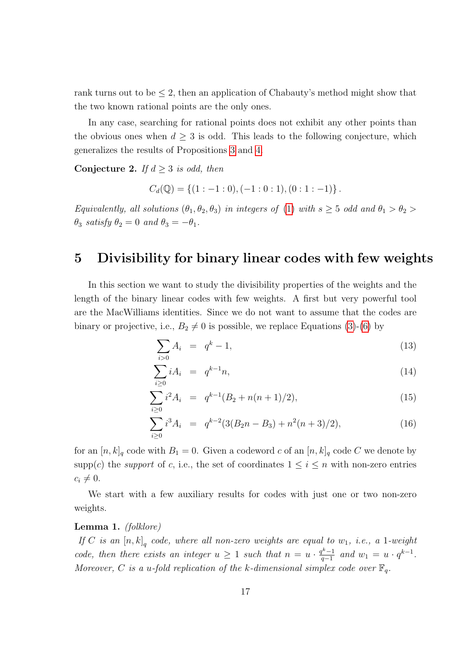rank turns out to be  $\leq 2$ , then an application of Chabauty's method might show that the two known rational points are the only ones.

In any case, searching for rational points does not exhibit any other points than the obvious ones when  $d \geq 3$  is odd. This leads to the following conjecture, which generalizes the results of Propositions [3](#page-14-2) and [4.](#page-15-0)

Conjecture 2. If  $d \geq 3$  is odd, then

$$
C_d(\mathbb{Q}) = \{ (1:-1:0), (-1:0:1), (0:1:-1) \}.
$$

Equivalently, all solutions  $(\theta_1, \theta_2, \theta_3)$  in integers of [\(1\)](#page-1-0) with  $s \geq 5$  odd and  $\theta_1 > \theta_2$  $\theta_3$  satisfy  $\theta_2 = 0$  and  $\theta_3 = -\theta_1$ .

## <span id="page-16-0"></span>5 Divisibility for binary linear codes with few weights

In this section we want to study the divisibility properties of the weights and the length of the binary linear codes with few weights. A first but very powerful tool are the MacWilliams identities. Since we do not want to assume that the codes are binary or projective, i.e.,  $B_2 \neq 0$  is possible, we replace Equations [\(3\)](#page-2-1)-[\(6\)](#page-2-1) by

<span id="page-16-1"></span>
$$
\sum_{i>0} A_i = q^k - 1,\tag{13}
$$

$$
\sum_{i\geq 0} i A_i = q^{k-1} n,\tag{14}
$$

$$
\sum_{i\geq 0} i^2 A_i = q^{k-1} (B_2 + n(n+1)/2), \tag{15}
$$

$$
\sum_{i\geq 0} i^3 A_i = q^{k-2} (3(B_2 n - B_3) + n^2 (n+3)/2), \tag{16}
$$

for an  $[n, k]_q$  code with  $B_1 = 0$ . Given a codeword c of an  $[n, k]_q$  code C we denote by supp(c) the *support* of c, i.e., the set of coordinates  $1 \leq i \leq n$  with non-zero entries  $c_i \neq 0.$ 

We start with a few auxiliary results for codes with just one or two non-zero weights.

#### <span id="page-16-2"></span>Lemma 1. (folklore)

If C is an  $[n,k]_q$  code, where all non-zero weights are equal to  $w_1$ , i.e., a 1-weight code, then there exists an integer  $u \geq 1$  such that  $n = u \cdot \frac{q^k - 1}{q-1}$  $\frac{q^{k}-1}{q-1}$  and  $w_1 = u \cdot q^{k-1}$ . Moreover, C is a u-fold replication of the k-dimensional simplex code over  $\mathbb{F}_q$ .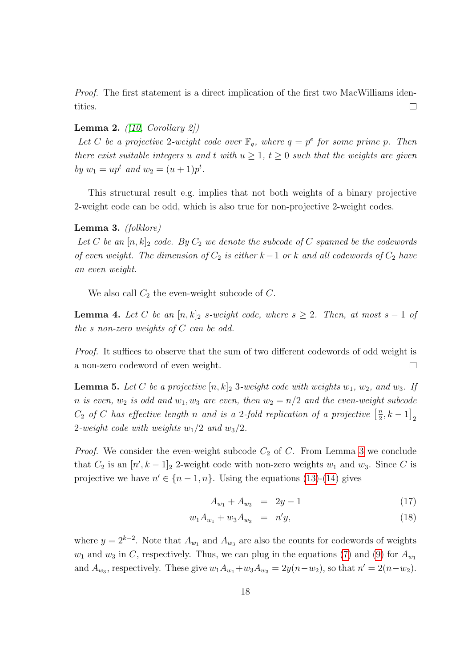Proof. The first statement is a direct implication of the first two MacWilliams identities.  $\Box$ 

#### <span id="page-17-3"></span>Lemma 2.  $([10, Corollary 2])$  $([10, Corollary 2])$  $([10, Corollary 2])$

Let C be a projective 2-weight code over  $\mathbb{F}_q$ , where  $q = p^e$  for some prime p. Then there exist suitable integers u and t with  $u \geq 1$ ,  $t \geq 0$  such that the weights are given by  $w_1 = up^t$  and  $w_2 = (u+1)p^t$ .

This structural result e.g. implies that not both weights of a binary projective 2-weight code can be odd, which is also true for non-projective 2-weight codes.

#### <span id="page-17-0"></span>Lemma 3. (folklore)

Let C be an  $[n, k]_2$  code. By  $C_2$  we denote the subcode of C spanned be the codewords of even weight. The dimension of  $C_2$  is either k – 1 or k and all codewords of  $C_2$  have an even weight.

We also call  $C_2$  the even-weight subcode of  $C$ .

<span id="page-17-1"></span>**Lemma 4.** Let C be an  $[n, k]_2$  s-weight code, where  $s \geq 2$ . Then, at most  $s - 1$  of the s non-zero weights of  $C$  can be odd.

Proof. It suffices to observe that the sum of two different codewords of odd weight is a non-zero codeword of even weight.  $\Box$ 

<span id="page-17-2"></span>**Lemma 5.** Let C be a projective  $[n, k]_2$  3-weight code with weights  $w_1, w_2,$  and  $w_3$ . If n is even,  $w_2$  is odd and  $w_1, w_3$  are even, then  $w_2 = n/2$  and the even-weight subcode  $C_2$  of C has effective length n and is a 2-fold replication of a projective  $\left[\frac{n}{2}\right]$  $\frac{n}{2}, k-1$ <sub>2</sub> 2-weight code with weights  $w_1/2$  and  $w_3/2$ .

*Proof.* We consider the even-weight subcode  $C_2$  of C. From Lemma [3](#page-17-0) we conclude that  $C_2$  is an  $[n', k-1]_2$  2-weight code with non-zero weights  $w_1$  and  $w_3$ . Since C is projective we have  $n' \in \{n-1, n\}$ . Using the equations [\(13\)](#page-16-1)-[\(14\)](#page-16-1) gives

<span id="page-17-4"></span>
$$
A_{w_1} + A_{w_3} = 2y - 1 \tag{17}
$$

$$
w_1 A_{w_1} + w_3 A_{w_3} = n'y, \tag{18}
$$

where  $y = 2^{k-2}$ . Note that  $A_{w_1}$  and  $A_{w_3}$  are also the counts for codewords of weights  $w_1$  and  $w_3$  in C, respectively. Thus, we can plug in the equations [\(7\)](#page-3-1) and [\(9\)](#page-3-1) for  $A_{w_1}$ and  $A_{w_3}$ , respectively. These give  $w_1 A_{w_1} + w_3 A_{w_3} = 2y(n - w_2)$ , so that  $n' = 2(n - w_2)$ .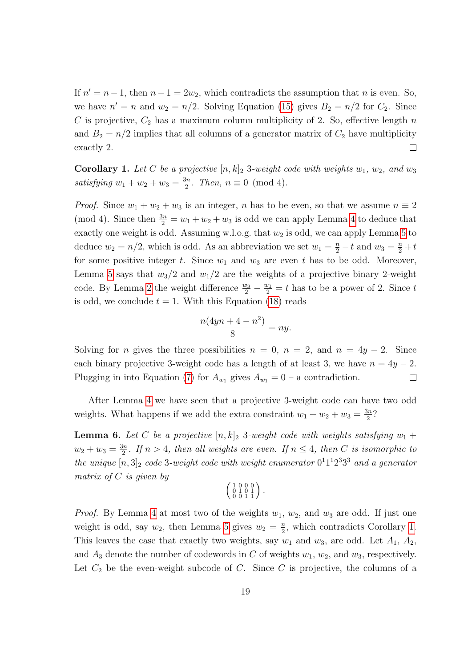If  $n' = n - 1$ , then  $n - 1 = 2w_2$ , which contradicts the assumption that n is even. So, we have  $n' = n$  and  $w_2 = n/2$ . Solving Equation [\(15\)](#page-16-1) gives  $B_2 = n/2$  for  $C_2$ . Since C is projective,  $C_2$  has a maximum column multiplicity of 2. So, effective length n and  $B_2 = n/2$  implies that all columns of a generator matrix of  $C_2$  have multiplicity exactly 2.  $\Box$ 

<span id="page-18-0"></span>**Corollary 1.** Let C be a projective  $[n, k]_2$  3-weight code with weights  $w_1, w_2,$  and  $w_3$ satisfying  $w_1 + w_2 + w_3 = \frac{3n}{2}$  $\frac{3n}{2}$ . Then,  $n \equiv 0 \pmod{4}$ .

*Proof.* Since  $w_1 + w_2 + w_3$  is an integer, n has to be even, so that we assume  $n \equiv 2$ (mod [4](#page-17-1)). Since then  $\frac{3n}{2} = w_1 + w_2 + w_3$  is odd we can apply Lemma 4 to deduce that exactly one weight is odd. Assuming w.l.o.g. that  $w_2$  is odd, we can apply Lemma [5](#page-17-2) to deduce  $w_2 = n/2$ , which is odd. As an abbreviation we set  $w_1 = \frac{n}{2} - t$  and  $w_3 = \frac{n}{2} + t$ for some positive integer t. Since  $w_1$  and  $w_3$  are even t has to be odd. Moreover, Lemma [5](#page-17-2) says that  $w_3/2$  and  $w_1/2$  are the weights of a projective binary 2-weight code. By Lemma [2](#page-17-3) the weight difference  $\frac{w_3}{2} - \frac{w_1}{2} = t$  has to be a power of 2. Since t is odd, we conclude  $t = 1$ . With this Equation [\(18\)](#page-17-4) reads

$$
\frac{n(4yn + 4 - n^2)}{8} = ny.
$$

Solving for *n* gives the three possibilities  $n = 0$ ,  $n = 2$ , and  $n = 4y - 2$ . Since each binary projective 3-weight code has a length of at least 3, we have  $n = 4y - 2$ . Plugging in into Equation [\(7\)](#page-3-1) for  $A_{w_1}$  gives  $A_{w_1} = 0$  – a contradiction.  $\Box$ 

After Lemma [4](#page-17-1) we have seen that a projective 3-weight code can have two odd weights. What happens if we add the extra constraint  $w_1 + w_2 + w_3 = \frac{3n}{2}$  $\frac{3n}{2}$ ?

<span id="page-18-1"></span>**Lemma 6.** Let C be a projective  $[n, k]_2$  3-weight code with weights satisfying  $w_1$  +  $w_2 + w_3 = \frac{3n}{2}$  $\frac{2n}{2}$ . If  $n > 4$ , then all weights are even. If  $n \leq 4$ , then C is isomorphic to the unique  $[n,3]_2$  code 3-weight code with weight enumerator  $0^11^12^33^3$  and a generator matrix of  $C$  is given by

$$
\left(\begin{smallmatrix} 1 & 0 & 0 & 0 \\ 0 & 1 & 0 & 1 \\ 0 & 0 & 1 & 1 \end{smallmatrix}\right).
$$

*Proof.* By Lemma [4](#page-17-1) at most two of the weights  $w_1, w_2$ , and  $w_3$  are odd. If just one weight is odd, say  $w_2$ , then Lemma [5](#page-17-2) gives  $w_2 = \frac{n}{2}$  $\frac{n}{2}$ , which contradicts Corollary [1.](#page-18-0) This leaves the case that exactly two weights, say  $w_1$  and  $w_3$ , are odd. Let  $A_1$ ,  $A_2$ , and  $A_3$  denote the number of codewords in C of weights  $w_1, w_2$ , and  $w_3$ , respectively. Let  $C_2$  be the even-weight subcode of C. Since C is projective, the columns of a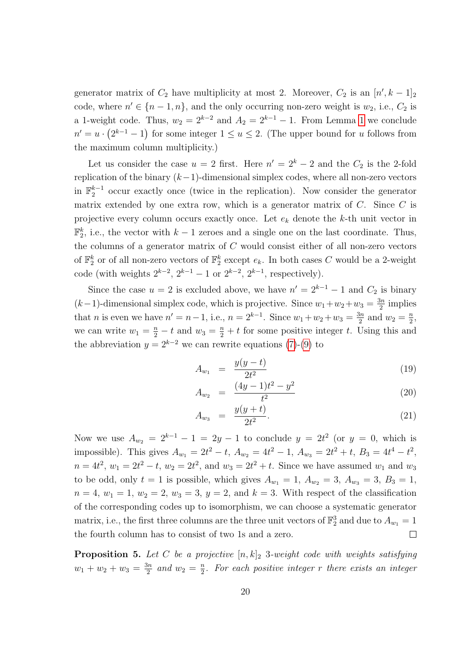generator matrix of  $C_2$  have multiplicity at most 2. Moreover,  $C_2$  is an  $[n', k-1]_2$ code, where  $n' \in \{n-1, n\}$ , and the only occurring non-zero weight is  $w_2$ , i.e.,  $C_2$  is a [1](#page-16-2)-weight code. Thus,  $w_2 = 2^{k-2}$  and  $A_2 = 2^{k-1} - 1$ . From Lemma 1 we conclude  $n' = u \cdot (2^{k-1} - 1)$  for some integer  $1 \le u \le 2$ . (The upper bound for u follows from the maximum column multiplicity.)

Let us consider the case  $u = 2$  first. Here  $n' = 2<sup>k</sup> - 2$  and the  $C_2$  is the 2-fold replication of the binary  $(k-1)$ -dimensional simplex codes, where all non-zero vectors in  $\mathbb{F}_2^{k-1}$  occur exactly once (twice in the replication). Now consider the generator matrix extended by one extra row, which is a generator matrix of  $C$ . Since  $C$  is projective every column occurs exactly once. Let  $e_k$  denote the  $k$ -th unit vector in  $\mathbb{F}_2^k$ , i.e., the vector with  $k-1$  zeroes and a single one on the last coordinate. Thus, the columns of a generator matrix of C would consist either of all non-zero vectors of  $\mathbb{F}_2^k$  or of all non-zero vectors of  $\mathbb{F}_2^k$  except  $e_k$ . In both cases C would be a 2-weight code (with weights  $2^{k-2}$ ,  $2^{k-1} - 1$  or  $2^{k-2}$ ,  $2^{k-1}$ , respectively).

Since the case  $u = 2$  is excluded above, we have  $n' = 2^{k-1} - 1$  and  $C_2$  is binary  $(k-1)$ -dimensional simplex code, which is projective. Since  $w_1 + w_2 + w_3 = \frac{3n}{2}$  $\frac{3n}{2}$  implies that *n* is even we have  $n' = n - 1$ , i.e.,  $n = 2^{k-1}$ . Since  $w_1 + w_2 + w_3 = \frac{3n}{2}$  $\frac{3n}{2}$  and  $w_2 = \frac{n}{2}$  $\frac{n}{2}$ we can write  $w_1 = \frac{n}{2} - t$  and  $w_3 = \frac{n}{2} + t$  for some positive integer t. Using this and the abbreviation  $y = 2^{k-2}$  we can rewrite equations [\(7\)](#page-3-1)-[\(9\)](#page-3-1) to

$$
A_{w_1} = \frac{y(y-t)}{2t^2} \tag{19}
$$

$$
A_{w_2} = \frac{(4y-1)t^2 - y^2}{t^2} \tag{20}
$$

$$
A_{w_3} = \frac{y(y+t)}{2t^2}.
$$
\n(21)

Now we use  $A_{w_2} = 2^{k-1} - 1 = 2y - 1$  to conclude  $y = 2t^2$  (or  $y = 0$ , which is impossible). This gives  $A_{w_1} = 2t^2 - t$ ,  $A_{w_2} = 4t^2 - 1$ ,  $A_{w_3} = 2t^2 + t$ ,  $B_3 = 4t^4 - t^2$ ,  $n = 4t^2$ ,  $w_1 = 2t^2 - t$ ,  $w_2 = 2t^2$ , and  $w_3 = 2t^2 + t$ . Since we have assumed  $w_1$  and  $w_3$ to be odd, only  $t = 1$  is possible, which gives  $A_{w_1} = 1$ ,  $A_{w_2} = 3$ ,  $A_{w_3} = 3$ ,  $B_3 = 1$ ,  $n = 4, w_1 = 1, w_2 = 2, w_3 = 3, y = 2, \text{ and } k = 3.$  With respect of the classification of the corresponding codes up to isomorphism, we can choose a systematic generator matrix, i.e., the first three columns are the three unit vectors of  $\mathbb{F}_2^3$  and due to  $A_{w_1} = 1$ the fourth column has to consist of two 1s and a zero.  $\Box$ 

<span id="page-19-0"></span>**Proposition 5.** Let C be a projective  $[n, k]_2$  3-weight code with weights satisfying  $w_1 + w_2 + w_3 = \frac{3n}{2}$  $\frac{3n}{2}$  and  $w_2 = \frac{n}{2}$  $\frac{n}{2}$ . For each positive integer r there exists an integer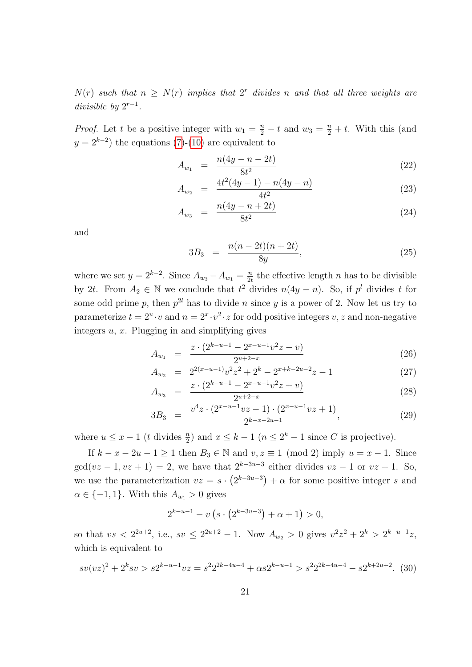$N(r)$  such that  $n \geq N(r)$  implies that  $2^r$  divides n and that all three weights are divisible by  $2^{r-1}$ .

*Proof.* Let t be a positive integer with  $w_1 = \frac{n}{2} - t$  and  $w_3 = \frac{n}{2} + t$ . With this (and  $y = 2^{k-2}$  the equations [\(7\)](#page-3-1)-[\(10\)](#page-3-1) are equivalent to

<span id="page-20-0"></span>
$$
A_{w_1} = \frac{n(4y - n - 2t)}{8t^2} \tag{22}
$$

$$
A_{w_2} = \frac{4t^2(4y-1) - n(4y-n)}{4t^2} \tag{23}
$$

$$
A_{w_3} = \frac{n(4y - n + 2t)}{8t^2} \tag{24}
$$

and

$$
3B_3 = \frac{n(n-2t)(n+2t)}{8y}, \tag{25}
$$

where we set  $y = 2^{k-2}$ . Since  $A_{w_3} - A_{w_1} = \frac{n}{2^k}$  $\frac{n}{2t}$  the effective length n has to be divisible by 2t. From  $A_2 \in \mathbb{N}$  we conclude that  $t^2$  divides  $n(4y - n)$ . So, if  $p^l$  divides t for some odd prime p, then  $p^{2l}$  has to divide n since y is a power of 2. Now let us try to parameterize  $t = 2^u \cdot v$  and  $n = 2^x \cdot v^2 \cdot z$  for odd positive integers  $v, z$  and non-negative integers  $u, x$ . Plugging in and simplifying gives

$$
A_{w_1} = \frac{z \cdot (2^{k-u-1} - 2^{x-u-1} v^2 z - v)}{2^{u+2-x}} \tag{26}
$$

$$
A_{w_2} = 2^{2(x-u-1)}v^2z^2 + 2^k - 2^{x+k-2u-2}z - 1
$$
  
 
$$
z \cdot (2^{k-u-1} - 2^{x-u-1}v^2z + v)
$$
 (27)

$$
A_{w_3} = \frac{z \cdot (2^{k-u-1} - 2^{x-u-1} v^2 z + v)}{2^{u+2-x}} \tag{28}
$$

$$
3B_3 = \frac{v^4 z \cdot (2^{x-u-1}vz - 1) \cdot (2^{x-u-1}vz + 1)}{2^{k-x-2u-1}},
$$
\n(29)

where  $u \leq x - 1$  (*t* divides  $\frac{n}{2}$ ) and  $x \leq k - 1$  ( $n \leq 2^k - 1$  since *C* is projective).

If  $k - x - 2u - 1 \ge 1$  then  $B_3 \in \mathbb{N}$  and  $v, z \equiv 1 \pmod{2}$  imply  $u = x - 1$ . Since  $gcd(vz-1, vz+1) = 2$ , we have that  $2^{k-3u-3}$  either divides  $vz-1$  or  $vz+1$ . So, we use the parameterization  $vz = s \cdot (2^{k-3u-3}) + \alpha$  for some positive integer s and  $\alpha \in \{-1, 1\}$ . With this  $A_{w_1} > 0$  gives

$$
2^{k-u-1} - v\left(s \cdot \left(2^{k-3u-3}\right) + \alpha + 1\right) > 0,
$$

so that  $vs < 2^{2u+2}$ , i.e.,  $sv \leq 2^{2u+2} - 1$ . Now  $A_{w_2} > 0$  gives  $v^2z^2 + 2^k > 2^{k-u-1}z$ , which is equivalent to

$$
sv(vz)^{2} + 2^{k}sv > s2^{k-u-1}vz = s^{2}2^{2k-4u-4} + \alpha s2^{k-u-1} > s^{2}2^{2k-4u-4} - s2^{k+2u+2}.
$$
 (30)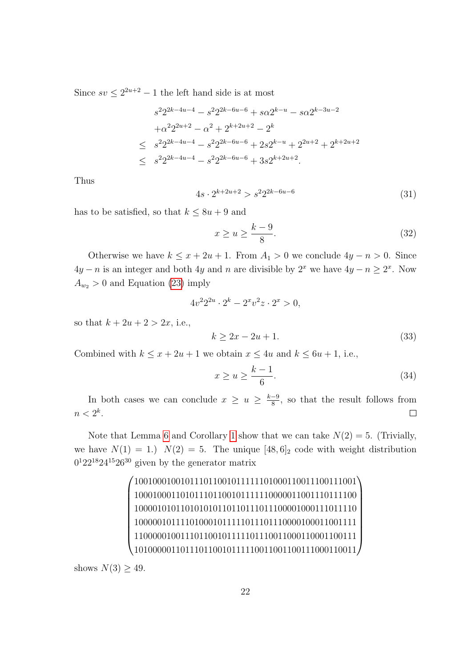Since  $sv \leq 2^{2u+2} - 1$  the left hand side is at most

$$
s^{2}2^{2k-4u-4} - s^{2}2^{2k-6u-6} + s\alpha 2^{k-u} - s\alpha 2^{k-3u-2}
$$
  
+ $\alpha^{2}2^{2u+2} - \alpha^{2} + 2^{k+2u+2} - 2^{k}$   

$$
\leq s^{2}2^{2k-4u-4} - s^{2}2^{2k-6u-6} + 2s2^{k-u} + 2^{2u+2} + 2^{k+2u+2}
$$
  

$$
\leq s^{2}2^{2k-4u-4} - s^{2}2^{2k-6u-6} + 3s2^{k+2u+2}.
$$

Thus

$$
4s \cdot 2^{k+2u+2} > s^2 2^{2k-6u-6}
$$
\n(31)

has to be satisfied, so that  $k \leq 8u + 9$  and

$$
x \ge u \ge \frac{k-9}{8}.\tag{32}
$$

Otherwise we have  $k \leq x + 2u + 1$ . From  $A_1 > 0$  we conclude  $4y - n > 0$ . Since  $4y - n$  is an integer and both 4y and n are divisible by  $2<sup>x</sup>$  we have  $4y - n \ge 2<sup>x</sup>$ . Now  $A_{w_2} > 0$  and Equation [\(23\)](#page-20-0) imply

$$
4v^2 2^{2u} \cdot 2^k - 2^x v^2 z \cdot 2^x > 0,
$$

so that  $k + 2u + 2 > 2x$ , i.e.,

$$
k \ge 2x - 2u + 1. \tag{33}
$$

Combined with  $k \leq x + 2u + 1$  we obtain  $x \leq 4u$  and  $k \leq 6u + 1$ , i.e.,

$$
x \ge u \ge \frac{k-1}{6}.\tag{34}
$$

In both cases we can conclude  $x \geq u \geq \frac{k-9}{8}$  $\frac{-9}{8}$ , so that the result follows from  $n < 2^k$ .  $\Box$ 

Note that Lemma [6](#page-18-1) and Corollary [1](#page-18-0) show that we can take  $N(2) = 5$ . (Trivially, we have  $N(1) = 1$ .)  $N(2) = 5$ . The unique [48, 6]<sub>2</sub> code with weight distribution  $0<sup>1</sup>22<sup>18</sup>24<sup>15</sup>26<sup>30</sup>$  given by the generator matrix

> $\sqrt{ }$  100100010010111011001011111101000110011100111001 100010001101011101100101111110000011001110111100 100001010110101010110110111011100001000111011110 100000101111010001011111011101110000100011001111 110000010011101100101111101110011000110001100111 101000001101110110010111110011001100111000110011  $\begin{array}{c} \hline \end{array}$

shows  $N(3) \geq 49$ .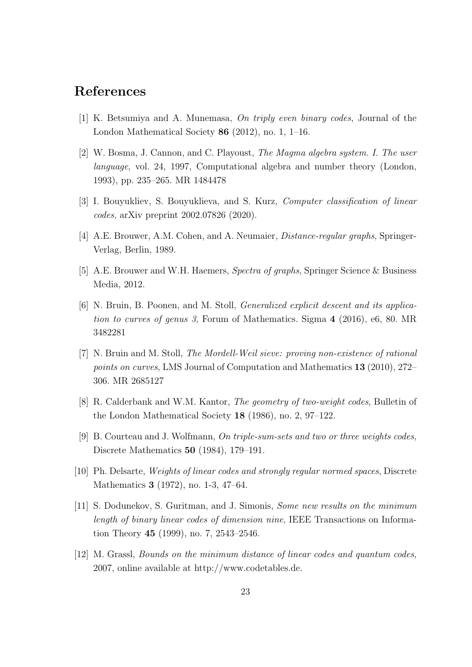## References

- <span id="page-22-6"></span>[1] K. Betsumiya and A. Munemasa, On triply even binary codes, Journal of the London Mathematical Society 86 (2012), no. 1, 1–16.
- <span id="page-22-9"></span>[2] W. Bosma, J. Cannon, and C. Playoust, The Magma algebra system. I. The user language, vol. 24, 1997, Computational algebra and number theory (London, 1993), pp. 235–265. MR 1484478
- <span id="page-22-5"></span>[3] I. Bouyukliev, S. Bouyuklieva, and S. Kurz, Computer classification of linear codes, arXiv preprint 2002.07826 (2020).
- <span id="page-22-3"></span>[4] A.E. Brouwer, A.M. Cohen, and A. Neumaier, Distance-regular graphs, Springer-Verlag, Berlin, 1989.
- <span id="page-22-0"></span>[5] A.E. Brouwer and W.H. Haemers, Spectra of graphs, Springer Science & Business Media, 2012.
- <span id="page-22-11"></span>[6] N. Bruin, B. Poonen, and M. Stoll, Generalized explicit descent and its application to curves of genus 3, Forum of Mathematics. Sigma 4 (2016), e6, 80. MR 3482281
- <span id="page-22-10"></span>[7] N. Bruin and M. Stoll, The Mordell-Weil sieve: proving non-existence of rational points on curves, LMS Journal of Computation and Mathematics 13 (2010), 272– 306. MR 2685127
- <span id="page-22-2"></span>[8] R. Calderbank and W.M. Kantor, The geometry of two-weight codes, Bulletin of the London Mathematical Society 18 (1986), no. 2, 97–122.
- <span id="page-22-4"></span>[9] B. Courteau and J. Wolfmann, On triple-sum-sets and two or three weights codes, Discrete Mathematics 50 (1984), 179–191.
- <span id="page-22-1"></span>[10] Ph. Delsarte, Weights of linear codes and strongly regular normed spaces, Discrete Mathematics 3 (1972), no. 1-3, 47–64.
- <span id="page-22-7"></span>[11] S. Dodunekov, S. Guritman, and J. Simonis, Some new results on the minimum length of binary linear codes of dimension nine, IEEE Transactions on Information Theory 45 (1999), no. 7, 2543–2546.
- <span id="page-22-8"></span>[12] M. Grassl, Bounds on the minimum distance of linear codes and quantum codes, 2007, online available at http://www.codetables.de.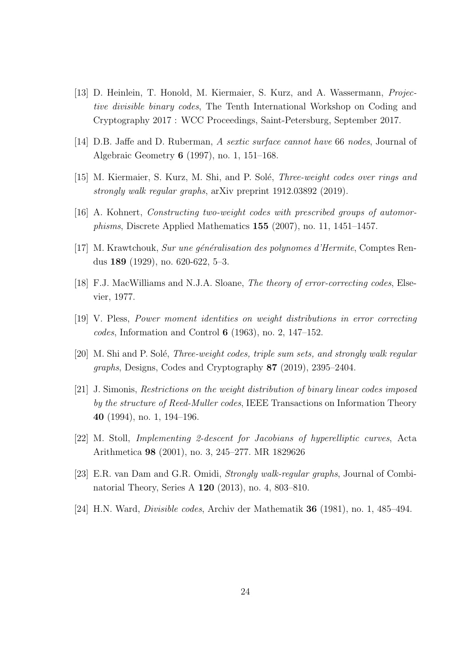- <span id="page-23-8"></span>[13] D. Heinlein, T. Honold, M. Kiermaier, S. Kurz, and A. Wassermann, Projective divisible binary codes, The Tenth International Workshop on Coding and Cryptography 2017 : WCC Proceedings, Saint-Petersburg, September 2017.
- <span id="page-23-10"></span>[14] D.B. Jaffe and D. Ruberman, A sextic surface cannot have 66 nodes, Journal of Algebraic Geometry 6 (1997), no. 1, 151–168.
- <span id="page-23-3"></span>[15] M. Kiermaier, S. Kurz, M. Shi, and P. Solé, *Three-weight codes over rings and* strongly walk regular graphs, arXiv preprint 1912.03892 (2019).
- <span id="page-23-2"></span>[16] A. Kohnert, Constructing two-weight codes with prescribed groups of automorphisms, Discrete Applied Mathematics 155 (2007), no. 11, 1451–1457.
- <span id="page-23-5"></span>[17] M. Krawtchouk, Sur une généralisation des polynomes d'Hermite, Comptes Rendus 189 (1929), no. 620-622, 5–3.
- <span id="page-23-4"></span>[18] F.J. MacWilliams and N.J.A. Sloane, *The theory of error-correcting codes*, Elsevier, 1977.
- <span id="page-23-6"></span>[19] V. Pless, Power moment identities on weight distributions in error correcting codes, Information and Control  $6$  (1963), no. 2, 147–152.
- <span id="page-23-1"></span>[20] M. Shi and P. Solé, *Three-weight codes, triple sum sets, and strongly walk regular* graphs, Designs, Codes and Cryptography 87 (2019), 2395–2404.
- <span id="page-23-9"></span>[21] J. Simonis, Restrictions on the weight distribution of binary linear codes imposed by the structure of Reed-Muller codes, IEEE Transactions on Information Theory 40 (1994), no. 1, 194–196.
- <span id="page-23-11"></span>[22] M. Stoll, Implementing 2-descent for Jacobians of hyperelliptic curves, Acta Arithmetica 98 (2001), no. 3, 245–277. MR 1829626
- <span id="page-23-0"></span>[23] E.R. van Dam and G.R. Omidi, Strongly walk-regular graphs, Journal of Combinatorial Theory, Series A 120 (2013), no. 4, 803–810.
- <span id="page-23-7"></span>[24] H.N. Ward, Divisible codes, Archiv der Mathematik 36 (1981), no. 1, 485–494.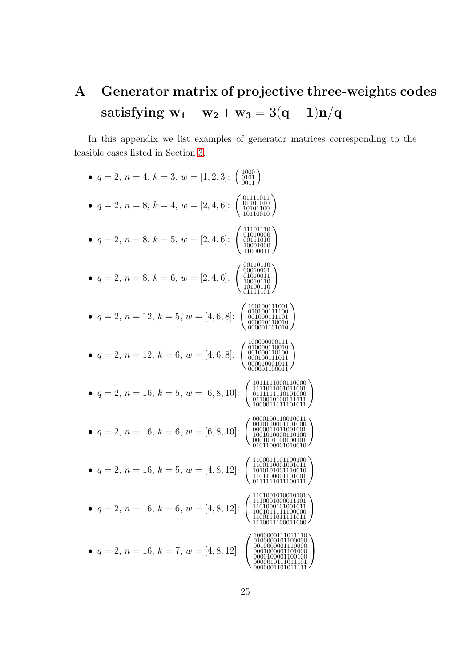# <span id="page-24-0"></span>A Generator matrix of projective three-weights codes satisfying  $\mathbf{w}_1 + \mathbf{w}_2 + \mathbf{w}_3 = 3(\mathbf{q}-\mathbf{1})\mathbf{n}/\mathbf{q}$

In this appendix we list examples of generator matrices corresponding to the feasible cases listed in Section [3.](#page-4-0)

| $q = 2, n = 4, k = 3, w = [1, 2, 3]$ :<br>$\left( \begin{array}{c} 1000 \\ 0101 \\ 0011 \end{array} \right)$                                             |
|----------------------------------------------------------------------------------------------------------------------------------------------------------|
| 01111011<br>• $q = 2, n = 8, k = 4, w = [2, 4, 6]$ :<br>01101010<br>10101100<br>10110010                                                                 |
| 11101110<br>$\begin{array}{c} 01010000 \\ 00111010 \\ 10001000 \\ 11000011 \end{array}$<br>$q = 2, n = 8, k = 5, w = [2, 4, 6]$ :                        |
| 00110110<br>00010001<br>$q = 2, n = 8, k = 6, w = [2, 4, 6]$ :<br>$\begin{array}{c} 01010011 \\ 10010110 \\ 10100110 \\ \backslash 01111101 \end{array}$ |
| 100100111001<br>$\begin{array}{c} 0101001111100 \ 001000111101 \ 000010110010 \ 000001101010 \end{array}$<br>$q = 2, n = 12, k = 5, w = [4, 6, 8]$ :     |
| 100000000111<br>010000110010<br>• $q = 2, n = 12, k = 6, w = [4, 6, 8]$ :                                                                                |
| 1011111000110000<br>1111011001011001<br>$q = 2, n = 16, k = 5, w = [6, 8, 10]$ :                                                                         |
| 0000100110010011<br>0010110001101000<br>$q = 2, n = 16, k = 6, w = [6, 8, 10]$ :                                                                         |
| $q = 2, n = 16, k = 5, w = [4, 8, 12]$ :<br>1010101001110010<br>1101100001101001<br>0111111011100111                                                     |
| 1110001000011101<br>$q = 2, n = 16, k = 6, w = [4, 8, 12]$ :<br>1110011100011000                                                                         |
| 1000000111011110<br>0 1 0 0 0 0 0 1 0 1 1 0 0 0 0 0 0<br>$q = 2, n = 16, k = 7, w = [4, 8, 12]:$                                                         |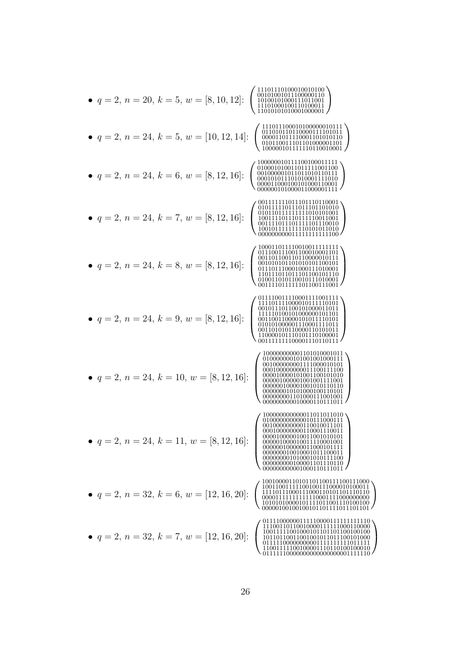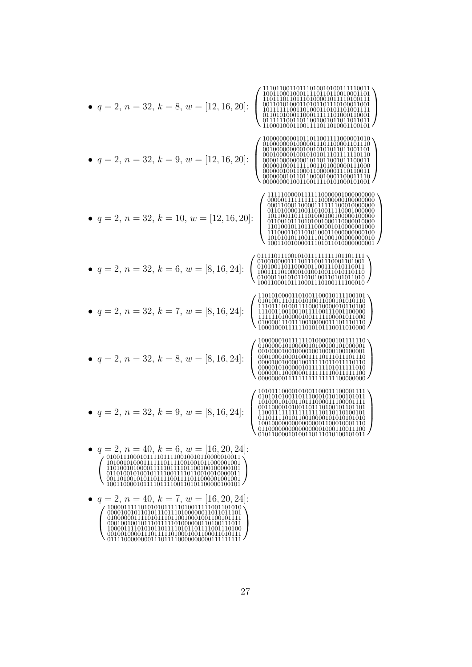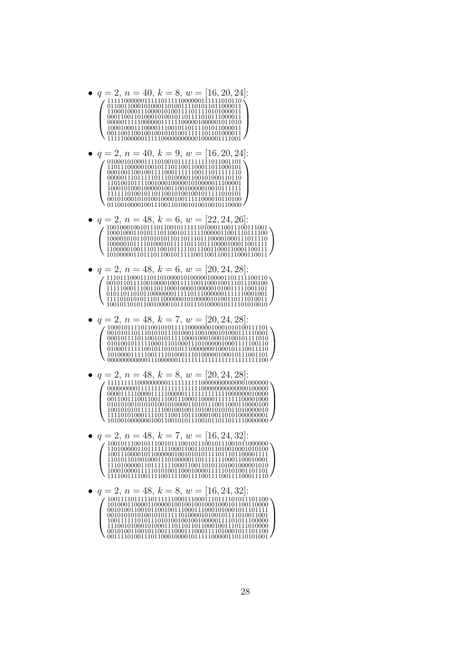- $q = 2, n = 40, k = 8, w = [16, 20, 24]$  $1111100000011111011111000000111111010110$ 1111100000011111000000000001000001111001
- $q = 2, n = 40, k = 9, w = [16, 20, 24]$  $\bullet$ 1101001011110010001000001010000011100001
- $q = 2, n = 48, k = 6, w = [22, 24, 26]$  $\bullet$ 1001000100101110110010111111101000110011100111001 1010000011011101100101111110011001100111000110011
- $q = 2, n = 48, k = 6, w = [20, 24, 28]$  $\bullet$
- $q = 2, n = 48, k = 7, w = [20, 24, 28]$
- $q = 2, n = 48, k = 8, w = [20, 24, 28]$  $\bullet$
- $q = 2, n = 48, k = 7, w = [16, 24, 32]$
- $\bullet$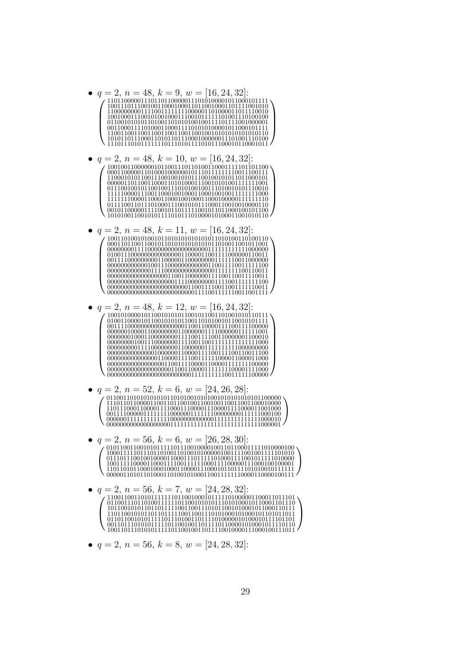

•  $q = 2$ ,  $n = 56$ ,  $k = 8$ ,  $w = [24, 28, 32]$ :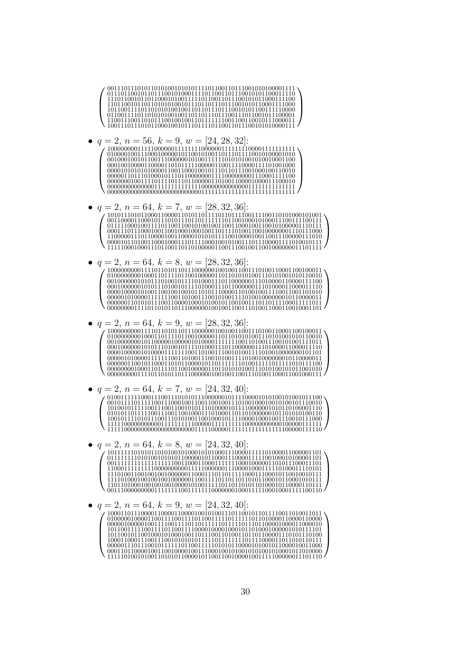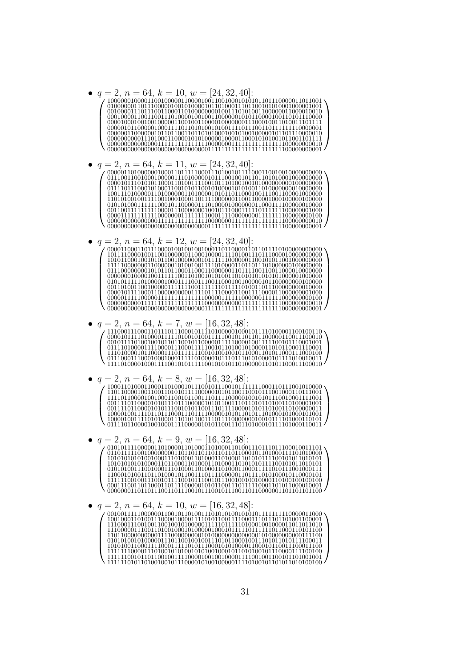$q = 2, n = 64, k = 10, w = [24, 32, 40]$ 

•  $q = 2, n = 64, k = 11, w = [24, 32, 40]$ :

 $q=2, n=64, k=12, w=[24,32,40]$ :  $\bullet$ 

- $q = 2, n = 64, k = 7, w = [16, 32, 48]$
- $q = 2, n = 64, k = 8, w = [16, 32, 48]$ :
	- $q = 2, n = 64, k = 9, w = [16, 32, 48]$

```
q = 2, n = 64, k = 10, w = [16, 32, 48]
```